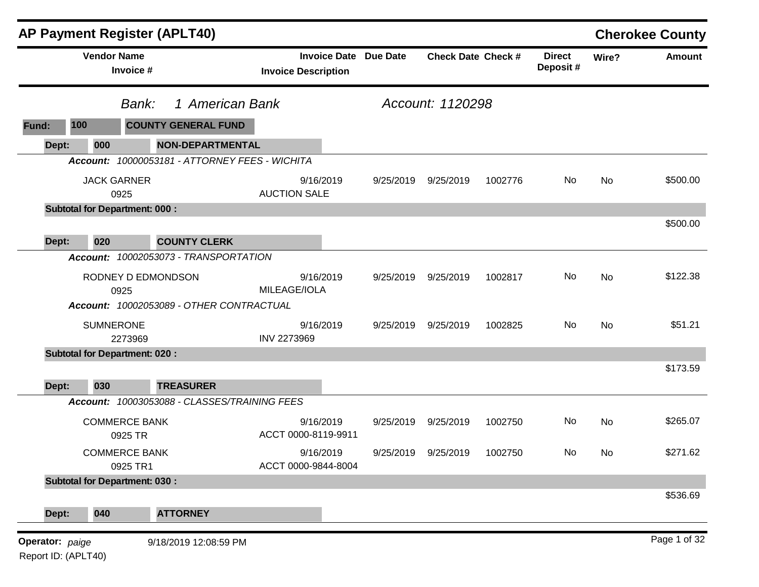|                 |                    | <b>AP Payment Register (APLT40)</b>   |                                                |                              |                           |         |                           |       | <b>Cherokee County</b> |
|-----------------|--------------------|---------------------------------------|------------------------------------------------|------------------------------|---------------------------|---------|---------------------------|-------|------------------------|
|                 | <b>Vendor Name</b> | Invoice #                             | <b>Invoice Description</b>                     | <b>Invoice Date Due Date</b> | <b>Check Date Check #</b> |         | <b>Direct</b><br>Deposit# | Wire? | <b>Amount</b>          |
|                 |                    | Bank:                                 | 1 American Bank                                |                              | Account: 1120298          |         |                           |       |                        |
| Fund:           | 100                | <b>COUNTY GENERAL FUND</b>            |                                                |                              |                           |         |                           |       |                        |
| Dept:           | 000                |                                       | <b>NON-DEPARTMENTAL</b>                        |                              |                           |         |                           |       |                        |
|                 |                    |                                       | Account: 10000053181 - ATTORNEY FEES - WICHITA |                              |                           |         |                           |       |                        |
|                 | <b>JACK GARNER</b> | 0925                                  | 9/16/2019<br><b>AUCTION SALE</b>               | 9/25/2019                    | 9/25/2019                 | 1002776 | No                        | No    | \$500.00               |
|                 |                    | <b>Subtotal for Department: 000:</b>  |                                                |                              |                           |         |                           |       |                        |
| Dept:           | 020                | <b>COUNTY CLERK</b>                   |                                                |                              |                           |         |                           |       | \$500.00               |
|                 |                    | Account: 10002053073 - TRANSPORTATION |                                                |                              |                           |         |                           |       |                        |
|                 |                    | RODNEY D EDMONDSON<br>0925            | 9/16/2019<br>MILEAGE/IOLA                      | 9/25/2019                    | 9/25/2019                 | 1002817 | No                        | No    | \$122.38               |
|                 |                    |                                       | Account: 10002053089 - OTHER CONTRACTUAL       |                              |                           |         |                           |       |                        |
|                 | <b>SUMNERONE</b>   | 2273969                               | 9/16/2019<br><b>INV 2273969</b>                | 9/25/2019                    | 9/25/2019                 | 1002825 | No                        | No    | \$51.21                |
|                 |                    | <b>Subtotal for Department: 020:</b>  |                                                |                              |                           |         |                           |       |                        |
| Dept:           | 030                | <b>TREASURER</b>                      |                                                |                              |                           |         |                           |       | \$173.59               |
|                 |                    |                                       | Account: 10003053088 - CLASSES/TRAINING FEES   |                              |                           |         |                           |       |                        |
|                 |                    | <b>COMMERCE BANK</b><br>0925 TR       | 9/16/2019<br>ACCT 0000-8119-9911               | 9/25/2019                    | 9/25/2019                 | 1002750 | No                        | No    | \$265.07               |
|                 |                    | <b>COMMERCE BANK</b><br>0925 TR1      | 9/16/2019<br>ACCT 0000-9844-8004               | 9/25/2019                    | 9/25/2019                 | 1002750 | No                        | No.   | \$271.62               |
|                 |                    | <b>Subtotal for Department: 030:</b>  |                                                |                              |                           |         |                           |       |                        |
| Dept:           | 040                | <b>ATTORNEY</b>                       |                                                |                              |                           |         |                           |       | \$536.69               |
| Operator: paige |                    | 9/18/2019 12:08:59 PM                 |                                                |                              |                           |         |                           |       | Page 1 of 32           |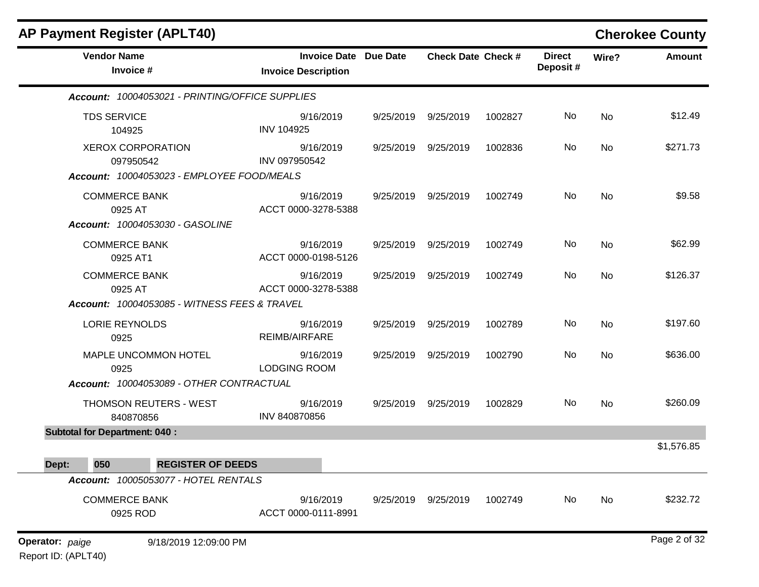| <b>AP Payment Register (APLT40)</b>                                           |                                                            |           |                           |         |                           |           | <b>Cherokee County</b> |
|-------------------------------------------------------------------------------|------------------------------------------------------------|-----------|---------------------------|---------|---------------------------|-----------|------------------------|
| <b>Vendor Name</b><br>Invoice #                                               | <b>Invoice Date Due Date</b><br><b>Invoice Description</b> |           | <b>Check Date Check #</b> |         | <b>Direct</b><br>Deposit# | Wire?     | <b>Amount</b>          |
| Account: 10004053021 - PRINTING/OFFICE SUPPLIES                               |                                                            |           |                           |         |                           |           |                        |
| <b>TDS SERVICE</b><br>104925                                                  | 9/16/2019<br><b>INV 104925</b>                             | 9/25/2019 | 9/25/2019                 | 1002827 | No                        | No        | \$12.49                |
| <b>XEROX CORPORATION</b><br>097950542                                         | 9/16/2019<br>INV 097950542                                 |           | 9/25/2019 9/25/2019       | 1002836 | No                        | <b>No</b> | \$271.73               |
| Account: 10004053023 - EMPLOYEE FOOD/MEALS<br><b>COMMERCE BANK</b><br>0925 AT | 9/16/2019<br>ACCT 0000-3278-5388                           | 9/25/2019 | 9/25/2019                 | 1002749 | No.                       | No        | \$9.58                 |
| Account: 10004053030 - GASOLINE<br><b>COMMERCE BANK</b><br>0925 AT1           | 9/16/2019<br>ACCT 0000-0198-5126                           | 9/25/2019 | 9/25/2019                 | 1002749 | No                        | No        | \$62.99                |
| <b>COMMERCE BANK</b><br>0925 AT                                               | 9/16/2019<br>ACCT 0000-3278-5388                           | 9/25/2019 | 9/25/2019                 | 1002749 | No                        | No        | \$126.37               |
| Account: 10004053085 - WITNESS FEES & TRAVEL                                  |                                                            |           |                           |         |                           |           |                        |
| <b>LORIE REYNOLDS</b><br>0925                                                 | 9/16/2019<br>REIMB/AIRFARE                                 | 9/25/2019 | 9/25/2019                 | 1002789 | No                        | No        | \$197.60               |
| MAPLE UNCOMMON HOTEL<br>0925                                                  | 9/16/2019<br><b>LODGING ROOM</b>                           | 9/25/2019 | 9/25/2019                 | 1002790 | No                        | No        | \$636.00               |
| Account: 10004053089 - OTHER CONTRACTUAL                                      |                                                            |           |                           |         |                           |           |                        |
| <b>THOMSON REUTERS - WEST</b><br>840870856                                    | 9/16/2019<br>INV 840870856                                 | 9/25/2019 | 9/25/2019                 | 1002829 | No                        | No        | \$260.09               |
| <b>Subtotal for Department: 040:</b>                                          |                                                            |           |                           |         |                           |           |                        |
| 050<br><b>REGISTER OF DEEDS</b><br>Dept:                                      |                                                            |           |                           |         |                           |           | \$1,576.85             |
| Account: 10005053077 - HOTEL RENTALS                                          |                                                            |           |                           |         |                           |           |                        |
| <b>COMMERCE BANK</b><br>0925 ROD                                              | 9/16/2019<br>ACCT 0000-0111-8991                           |           | 9/25/2019 9/25/2019       | 1002749 | No                        | No        | \$232.72               |
| Operator: paige<br>9/18/2019 12:09:00 PM                                      |                                                            |           |                           |         |                           |           | Page 2 of 32           |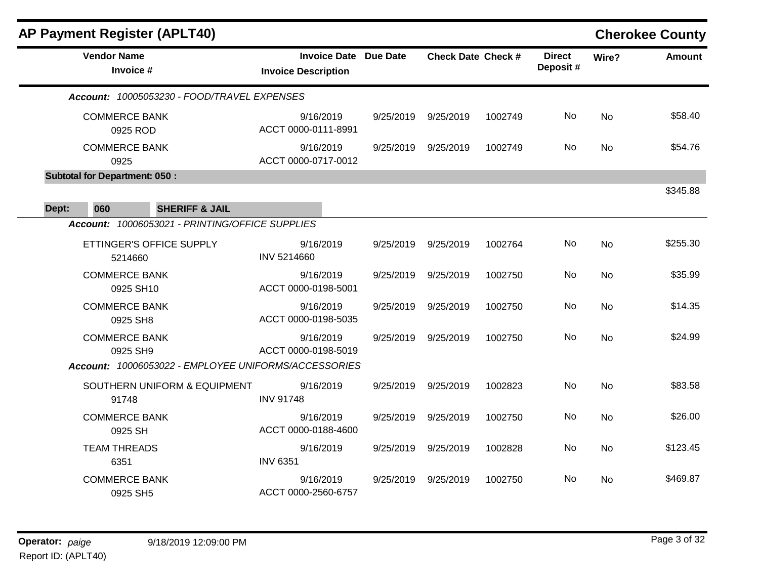| <b>AP Payment Register (APLT40)</b>                  |                                                            |           |                           |         |                           |           | <b>Cherokee County</b> |
|------------------------------------------------------|------------------------------------------------------------|-----------|---------------------------|---------|---------------------------|-----------|------------------------|
| <b>Vendor Name</b><br>Invoice #                      | <b>Invoice Date Due Date</b><br><b>Invoice Description</b> |           | <b>Check Date Check #</b> |         | <b>Direct</b><br>Deposit# | Wire?     | <b>Amount</b>          |
| Account: 10005053230 - FOOD/TRAVEL EXPENSES          |                                                            |           |                           |         |                           |           |                        |
| <b>COMMERCE BANK</b><br>0925 ROD                     | 9/16/2019<br>ACCT 0000-0111-8991                           | 9/25/2019 | 9/25/2019                 | 1002749 | No.                       | <b>No</b> | \$58.40                |
| <b>COMMERCE BANK</b><br>0925                         | 9/16/2019<br>ACCT 0000-0717-0012                           | 9/25/2019 | 9/25/2019                 | 1002749 | No                        | No        | \$54.76                |
| <b>Subtotal for Department: 050:</b>                 |                                                            |           |                           |         |                           |           |                        |
| 060<br>Dept:<br><b>SHERIFF &amp; JAIL</b>            |                                                            |           |                           |         |                           |           | \$345.88               |
| Account: 10006053021 - PRINTING/OFFICE SUPPLIES      |                                                            |           |                           |         |                           |           |                        |
| ETTINGER'S OFFICE SUPPLY<br>5214660                  | 9/16/2019<br>INV 5214660                                   | 9/25/2019 | 9/25/2019                 | 1002764 | No                        | <b>No</b> | \$255.30               |
| <b>COMMERCE BANK</b><br>0925 SH10                    | 9/16/2019<br>ACCT 0000-0198-5001                           | 9/25/2019 | 9/25/2019                 | 1002750 | No                        | <b>No</b> | \$35.99                |
| <b>COMMERCE BANK</b><br>0925 SH8                     | 9/16/2019<br>ACCT 0000-0198-5035                           | 9/25/2019 | 9/25/2019                 | 1002750 | No                        | <b>No</b> | \$14.35                |
| <b>COMMERCE BANK</b><br>0925 SH9                     | 9/16/2019<br>ACCT 0000-0198-5019                           | 9/25/2019 | 9/25/2019                 | 1002750 | No                        | No        | \$24.99                |
| Account: 10006053022 - EMPLOYEE UNIFORMS/ACCESSORIES |                                                            |           |                           |         |                           |           |                        |
| SOUTHERN UNIFORM & EQUIPMENT<br>91748                | 9/16/2019<br><b>INV 91748</b>                              | 9/25/2019 | 9/25/2019                 | 1002823 | No                        | <b>No</b> | \$83.58                |
| <b>COMMERCE BANK</b><br>0925 SH                      | 9/16/2019<br>ACCT 0000-0188-4600                           | 9/25/2019 | 9/25/2019                 | 1002750 | No                        | <b>No</b> | \$26.00                |
| <b>TEAM THREADS</b><br>6351                          | 9/16/2019<br><b>INV 6351</b>                               | 9/25/2019 | 9/25/2019                 | 1002828 | No                        | No        | \$123.45               |
| <b>COMMERCE BANK</b><br>0925 SH5                     | 9/16/2019<br>ACCT 0000-2560-6757                           | 9/25/2019 | 9/25/2019                 | 1002750 | No.                       | <b>No</b> | \$469.87               |
|                                                      |                                                            |           |                           |         |                           |           |                        |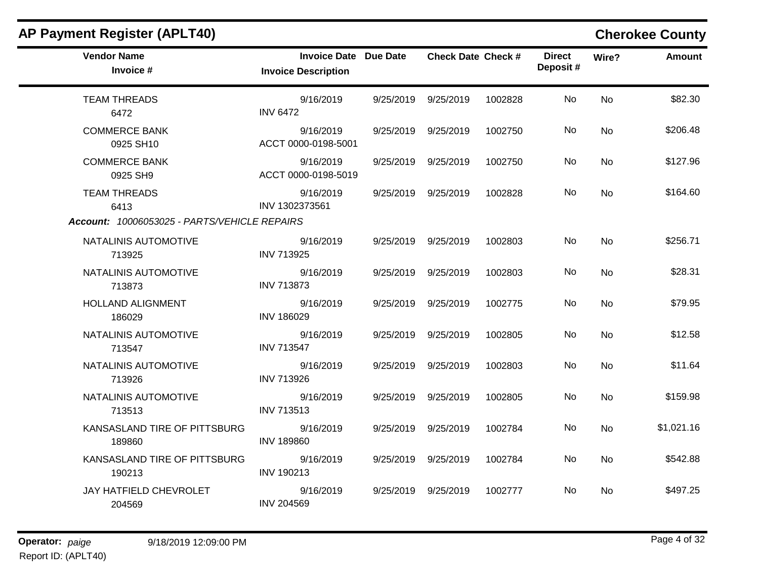| <b>AP Payment Register (APLT40)</b>          |                                                            |           |                           |         |                           |           | <b>Cherokee County</b> |
|----------------------------------------------|------------------------------------------------------------|-----------|---------------------------|---------|---------------------------|-----------|------------------------|
| <b>Vendor Name</b><br>Invoice #              | <b>Invoice Date Due Date</b><br><b>Invoice Description</b> |           | <b>Check Date Check #</b> |         | <b>Direct</b><br>Deposit# | Wire?     | Amount                 |
| <b>TEAM THREADS</b><br>6472                  | 9/16/2019<br><b>INV 6472</b>                               |           | 9/25/2019 9/25/2019       | 1002828 | No                        | <b>No</b> | \$82.30                |
| <b>COMMERCE BANK</b><br>0925 SH10            | 9/16/2019<br>ACCT 0000-0198-5001                           |           | 9/25/2019 9/25/2019       | 1002750 | <b>No</b>                 | No        | \$206.48               |
| <b>COMMERCE BANK</b><br>0925 SH9             | 9/16/2019<br>ACCT 0000-0198-5019                           |           | 9/25/2019 9/25/2019       | 1002750 | No                        | <b>No</b> | \$127.96               |
| <b>TEAM THREADS</b><br>6413                  | 9/16/2019<br>INV 1302373561                                |           | 9/25/2019 9/25/2019       | 1002828 | No.                       | No.       | \$164.60               |
| Account: 10006053025 - PARTS/VEHICLE REPAIRS |                                                            |           |                           |         |                           |           |                        |
| NATALINIS AUTOMOTIVE<br>713925               | 9/16/2019<br><b>INV 713925</b>                             |           | 9/25/2019 9/25/2019       | 1002803 | No                        | <b>No</b> | \$256.71               |
| NATALINIS AUTOMOTIVE<br>713873               | 9/16/2019<br><b>INV 713873</b>                             |           | 9/25/2019 9/25/2019       | 1002803 | No.                       | <b>No</b> | \$28.31                |
| <b>HOLLAND ALIGNMENT</b><br>186029           | 9/16/2019<br><b>INV 186029</b>                             | 9/25/2019 | 9/25/2019                 | 1002775 | No                        | <b>No</b> | \$79.95                |
| NATALINIS AUTOMOTIVE<br>713547               | 9/16/2019<br><b>INV 713547</b>                             |           | 9/25/2019 9/25/2019       | 1002805 | No.                       | No        | \$12.58                |
| NATALINIS AUTOMOTIVE<br>713926               | 9/16/2019<br><b>INV 713926</b>                             |           | 9/25/2019 9/25/2019       | 1002803 | No                        | <b>No</b> | \$11.64                |
| NATALINIS AUTOMOTIVE<br>713513               | 9/16/2019<br><b>INV 713513</b>                             |           | 9/25/2019 9/25/2019       | 1002805 | No.                       | <b>No</b> | \$159.98               |
| KANSASLAND TIRE OF PITTSBURG<br>189860       | 9/16/2019<br><b>INV 189860</b>                             | 9/25/2019 | 9/25/2019                 | 1002784 | No.                       | <b>No</b> | \$1,021.16             |
| KANSASLAND TIRE OF PITTSBURG<br>190213       | 9/16/2019<br>INV 190213                                    | 9/25/2019 | 9/25/2019                 | 1002784 | No.                       | <b>No</b> | \$542.88               |
| JAY HATFIELD CHEVROLET<br>204569             | 9/16/2019<br><b>INV 204569</b>                             |           | 9/25/2019 9/25/2019       | 1002777 | No.                       | No.       | \$497.25               |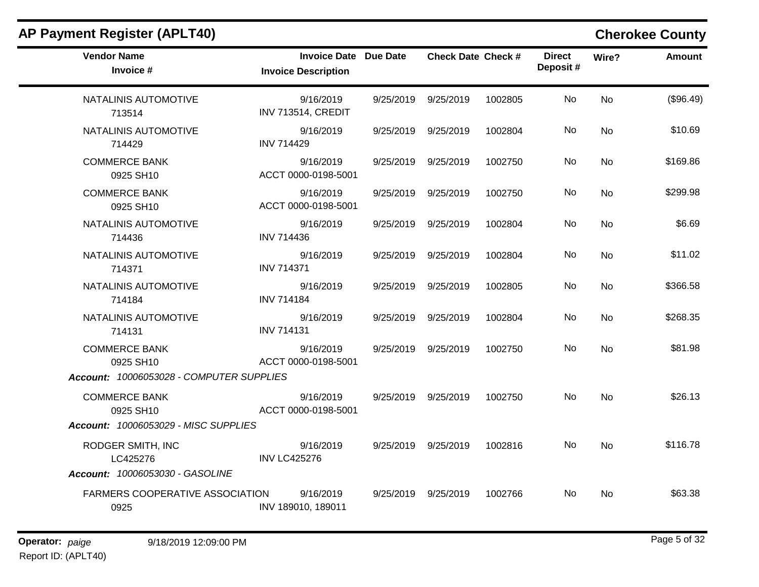| <b>Vendor Name</b><br>Invoice #                                               | Invoice Date Due Date<br><b>Invoice Description</b> | <b>Check Date Check #</b> |         | <b>Direct</b><br>Deposit# | Wire?     | <b>Amount</b> |
|-------------------------------------------------------------------------------|-----------------------------------------------------|---------------------------|---------|---------------------------|-----------|---------------|
| NATALINIS AUTOMOTIVE<br>713514                                                | 9/16/2019<br>INV 713514, CREDIT                     | 9/25/2019 9/25/2019       | 1002805 | No                        | <b>No</b> | (\$96.49)     |
| NATALINIS AUTOMOTIVE<br>714429                                                | 9/16/2019<br><b>INV 714429</b>                      | 9/25/2019 9/25/2019       | 1002804 | No.                       | <b>No</b> | \$10.69       |
| <b>COMMERCE BANK</b><br>0925 SH10                                             | 9/16/2019<br>ACCT 0000-0198-5001                    | 9/25/2019 9/25/2019       | 1002750 | No                        | <b>No</b> | \$169.86      |
| <b>COMMERCE BANK</b><br>0925 SH10                                             | 9/16/2019<br>ACCT 0000-0198-5001                    | 9/25/2019 9/25/2019       | 1002750 | No.                       | <b>No</b> | \$299.98      |
| NATALINIS AUTOMOTIVE<br>714436                                                | 9/16/2019<br><b>INV 714436</b>                      | 9/25/2019 9/25/2019       | 1002804 | No                        | No.       | \$6.69        |
| NATALINIS AUTOMOTIVE<br>714371                                                | 9/16/2019<br><b>INV 714371</b>                      | 9/25/2019 9/25/2019       | 1002804 | No.                       | <b>No</b> | \$11.02       |
| NATALINIS AUTOMOTIVE<br>714184                                                | 9/16/2019<br><b>INV 714184</b>                      | 9/25/2019 9/25/2019       | 1002805 | No                        | <b>No</b> | \$366.58      |
| NATALINIS AUTOMOTIVE<br>714131                                                | 9/16/2019<br><b>INV 714131</b>                      | 9/25/2019 9/25/2019       | 1002804 | No.                       | <b>No</b> | \$268.35      |
| <b>COMMERCE BANK</b><br>0925 SH10<br>Account: 10006053028 - COMPUTER SUPPLIES | 9/16/2019<br>ACCT 0000-0198-5001                    | 9/25/2019 9/25/2019       | 1002750 | No.                       | No        | \$81.98       |
| <b>COMMERCE BANK</b><br>0925 SH10                                             | 9/16/2019<br>ACCT 0000-0198-5001                    | 9/25/2019 9/25/2019       | 1002750 | No.                       | No        | \$26.13       |
| Account: 10006053029 - MISC SUPPLIES<br>RODGER SMITH, INC<br>LC425276         | 9/16/2019<br><b>INV LC425276</b>                    | 9/25/2019 9/25/2019       | 1002816 | No.                       | No        | \$116.78      |
| Account: 10006053030 - GASOLINE<br>FARMERS COOPERATIVE ASSOCIATION<br>0925    | 9/16/2019<br>INV 189010, 189011                     | 9/25/2019 9/25/2019       | 1002766 | No                        | <b>No</b> | \$63.38       |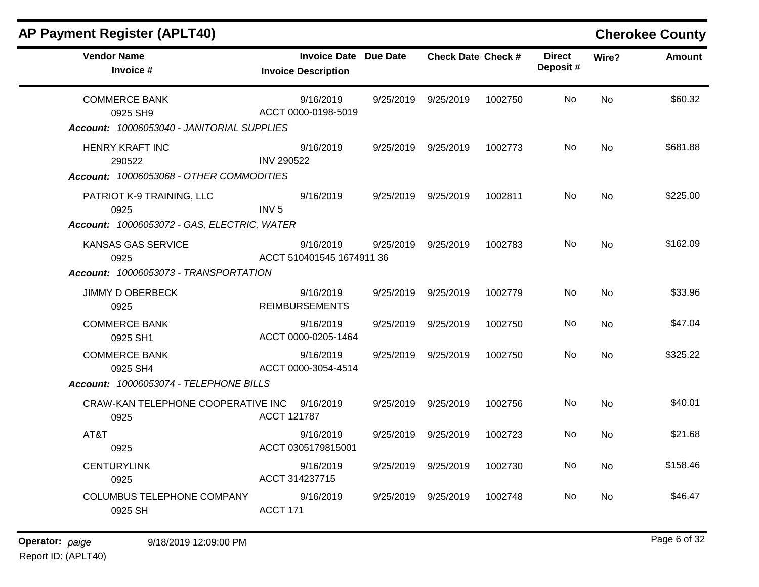| <b>AP Payment Register (APLT40)</b>                                              |                                                            |           |                           |         |                            |           | <b>Cherokee County</b> |
|----------------------------------------------------------------------------------|------------------------------------------------------------|-----------|---------------------------|---------|----------------------------|-----------|------------------------|
| <b>Vendor Name</b><br>Invoice #                                                  | <b>Invoice Date Due Date</b><br><b>Invoice Description</b> |           | <b>Check Date Check #</b> |         | <b>Direct</b><br>Deposit # | Wire?     | <b>Amount</b>          |
| <b>COMMERCE BANK</b><br>0925 SH9<br>Account: 10006053040 - JANITORIAL SUPPLIES   | 9/16/2019<br>ACCT 0000-0198-5019                           | 9/25/2019 | 9/25/2019                 | 1002750 | No.                        | <b>No</b> | \$60.32                |
| HENRY KRAFT INC<br>290522<br>Account: 10006053068 - OTHER COMMODITIES            | 9/16/2019<br><b>INV 290522</b>                             |           | 9/25/2019 9/25/2019       | 1002773 | No.                        | <b>No</b> | \$681.88               |
| PATRIOT K-9 TRAINING, LLC<br>0925<br>Account: 10006053072 - GAS, ELECTRIC, WATER | 9/16/2019<br>INV <sub>5</sub>                              |           | 9/25/2019 9/25/2019       | 1002811 | No.                        | No.       | \$225.00               |
| KANSAS GAS SERVICE<br>0925<br>Account: 10006053073 - TRANSPORTATION              | 9/16/2019<br>ACCT 510401545 1674911 36                     | 9/25/2019 | 9/25/2019                 | 1002783 | No                         | <b>No</b> | \$162.09               |
| <b>JIMMY D OBERBECK</b><br>0925                                                  | 9/16/2019<br><b>REIMBURSEMENTS</b>                         | 9/25/2019 | 9/25/2019                 | 1002779 | No.                        | <b>No</b> | \$33.96                |
| <b>COMMERCE BANK</b><br>0925 SH1                                                 | 9/16/2019<br>ACCT 0000-0205-1464                           | 9/25/2019 | 9/25/2019                 | 1002750 | No.                        | No        | \$47.04                |
| <b>COMMERCE BANK</b><br>0925 SH4<br>Account: 10006053074 - TELEPHONE BILLS       | 9/16/2019<br>ACCT 0000-3054-4514                           | 9/25/2019 | 9/25/2019                 | 1002750 | No.                        | No.       | \$325.22               |
| CRAW-KAN TELEPHONE COOPERATIVE INC<br>0925                                       | 9/16/2019<br>ACCT 121787                                   | 9/25/2019 | 9/25/2019                 | 1002756 | No                         | <b>No</b> | \$40.01                |
| AT&T<br>0925                                                                     | 9/16/2019<br>ACCT 0305179815001                            |           | 9/25/2019 9/25/2019       | 1002723 | No.                        | No.       | \$21.68                |
| <b>CENTURYLINK</b><br>0925                                                       | 9/16/2019<br>ACCT 314237715                                | 9/25/2019 | 9/25/2019                 | 1002730 | No.                        | <b>No</b> | \$158.46               |
| <b>COLUMBUS TELEPHONE COMPANY</b><br>0925 SH                                     | 9/16/2019<br>ACCT 171                                      | 9/25/2019 | 9/25/2019                 | 1002748 | No                         | No        | \$46.47                |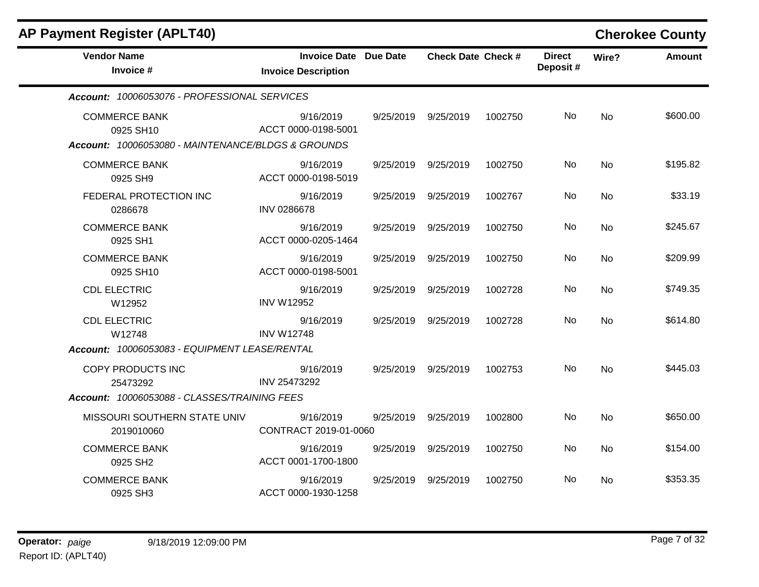| <b>AP Payment Register (APLT40)</b>                |                                                     |           |                           |         |                           |           | <b>Cherokee County</b> |
|----------------------------------------------------|-----------------------------------------------------|-----------|---------------------------|---------|---------------------------|-----------|------------------------|
| <b>Vendor Name</b><br>Invoice #                    | Invoice Date Due Date<br><b>Invoice Description</b> |           | <b>Check Date Check #</b> |         | <b>Direct</b><br>Deposit# | Wire?     | <b>Amount</b>          |
| Account: 10006053076 - PROFESSIONAL SERVICES       |                                                     |           |                           |         |                           |           |                        |
| <b>COMMERCE BANK</b><br>0925 SH10                  | 9/16/2019<br>ACCT 0000-0198-5001                    |           | 9/25/2019 9/25/2019       | 1002750 | No.                       | <b>No</b> | \$600.00               |
| Account: 10006053080 - MAINTENANCE/BLDGS & GROUNDS |                                                     |           |                           |         |                           |           |                        |
| <b>COMMERCE BANK</b><br>0925 SH9                   | 9/16/2019<br>ACCT 0000-0198-5019                    |           | 9/25/2019 9/25/2019       | 1002750 | No                        | <b>No</b> | \$195.82               |
| FEDERAL PROTECTION INC<br>0286678                  | 9/16/2019<br><b>INV 0286678</b>                     | 9/25/2019 | 9/25/2019                 | 1002767 | No.                       | <b>No</b> | \$33.19                |
| <b>COMMERCE BANK</b><br>0925 SH1                   | 9/16/2019<br>ACCT 0000-0205-1464                    |           | 9/25/2019 9/25/2019       | 1002750 | No.                       | <b>No</b> | \$245.67               |
| <b>COMMERCE BANK</b><br>0925 SH10                  | 9/16/2019<br>ACCT 0000-0198-5001                    | 9/25/2019 | 9/25/2019                 | 1002750 | No.                       | <b>No</b> | \$209.99               |
| <b>CDL ELECTRIC</b><br>W12952                      | 9/16/2019<br><b>INV W12952</b>                      |           | 9/25/2019 9/25/2019       | 1002728 | No.                       | No        | \$749.35               |
| <b>CDL ELECTRIC</b><br>W12748                      | 9/16/2019<br><b>INV W12748</b>                      | 9/25/2019 | 9/25/2019                 | 1002728 | No.                       | <b>No</b> | \$614.80               |
| Account: 10006053083 - EQUIPMENT LEASE/RENTAL      |                                                     |           |                           |         |                           |           |                        |
| COPY PRODUCTS INC<br>25473292                      | 9/16/2019<br>INV 25473292                           | 9/25/2019 | 9/25/2019                 | 1002753 | No.                       | <b>No</b> | \$445.03               |
| Account: 10006053088 - CLASSES/TRAINING FEES       |                                                     |           |                           |         |                           |           |                        |
| MISSOURI SOUTHERN STATE UNIV<br>2019010060         | 9/16/2019<br>CONTRACT 2019-01-0060                  | 9/25/2019 | 9/25/2019                 | 1002800 | No.                       | <b>No</b> | \$650.00               |
| <b>COMMERCE BANK</b><br>0925 SH2                   | 9/16/2019<br>ACCT 0001-1700-1800                    | 9/25/2019 | 9/25/2019                 | 1002750 | No.                       | <b>No</b> | \$154.00               |
| <b>COMMERCE BANK</b><br>0925 SH3                   | 9/16/2019<br>ACCT 0000-1930-1258                    | 9/25/2019 | 9/25/2019                 | 1002750 | No.                       | No        | \$353.35               |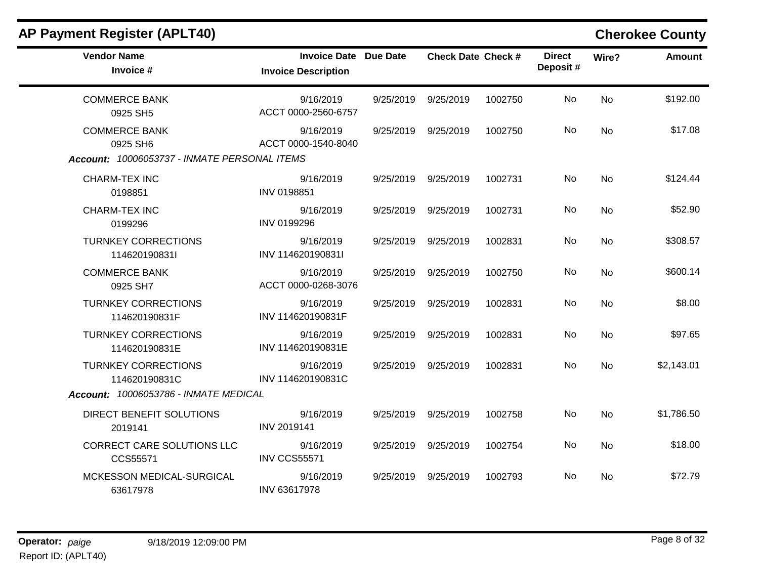| <b>AP Payment Register (APLT40)</b>                                              |                                                            |           |                           |         |                           |           | <b>Cherokee County</b> |
|----------------------------------------------------------------------------------|------------------------------------------------------------|-----------|---------------------------|---------|---------------------------|-----------|------------------------|
| <b>Vendor Name</b><br>Invoice #                                                  | <b>Invoice Date Due Date</b><br><b>Invoice Description</b> |           | <b>Check Date Check #</b> |         | <b>Direct</b><br>Deposit# | Wire?     | <b>Amount</b>          |
| <b>COMMERCE BANK</b><br>0925 SH5                                                 | 9/16/2019<br>ACCT 0000-2560-6757                           | 9/25/2019 | 9/25/2019                 | 1002750 | No.                       | <b>No</b> | \$192.00               |
| <b>COMMERCE BANK</b><br>0925 SH6<br>Account: 10006053737 - INMATE PERSONAL ITEMS | 9/16/2019<br>ACCT 0000-1540-8040                           | 9/25/2019 | 9/25/2019                 | 1002750 | No                        | <b>No</b> | \$17.08                |
| CHARM-TEX INC<br>0198851                                                         | 9/16/2019<br>INV 0198851                                   | 9/25/2019 | 9/25/2019                 | 1002731 | No                        | <b>No</b> | \$124.44               |
| <b>CHARM-TEX INC</b><br>0199296                                                  | 9/16/2019<br>INV 0199296                                   | 9/25/2019 | 9/25/2019                 | 1002731 | No.                       | <b>No</b> | \$52.90                |
| <b>TURNKEY CORRECTIONS</b><br>114620190831l                                      | 9/16/2019<br>INV 114620190831I                             | 9/25/2019 | 9/25/2019                 | 1002831 | No                        | <b>No</b> | \$308.57               |
| <b>COMMERCE BANK</b><br>0925 SH7                                                 | 9/16/2019<br>ACCT 0000-0268-3076                           | 9/25/2019 | 9/25/2019                 | 1002750 | No                        | <b>No</b> | \$600.14               |
| <b>TURNKEY CORRECTIONS</b><br>114620190831F                                      | 9/16/2019<br>INV 114620190831F                             | 9/25/2019 | 9/25/2019                 | 1002831 | No.                       | No        | \$8.00                 |
| <b>TURNKEY CORRECTIONS</b><br>114620190831E                                      | 9/16/2019<br>INV 114620190831E                             | 9/25/2019 | 9/25/2019                 | 1002831 | No.                       | <b>No</b> | \$97.65                |
| <b>TURNKEY CORRECTIONS</b><br>114620190831C                                      | 9/16/2019<br>INV 114620190831C                             | 9/25/2019 | 9/25/2019                 | 1002831 | No                        | <b>No</b> | \$2,143.01             |
| Account: 10006053786 - INMATE MEDICAL                                            |                                                            |           |                           |         |                           |           |                        |
| DIRECT BENEFIT SOLUTIONS<br>2019141                                              | 9/16/2019<br>INV 2019141                                   | 9/25/2019 | 9/25/2019                 | 1002758 | No                        | <b>No</b> | \$1,786.50             |
| CORRECT CARE SOLUTIONS LLC<br>CCS55571                                           | 9/16/2019<br><b>INV CCS55571</b>                           | 9/25/2019 | 9/25/2019                 | 1002754 | No.                       | No        | \$18.00                |
| MCKESSON MEDICAL-SURGICAL<br>63617978                                            | 9/16/2019<br>INV 63617978                                  | 9/25/2019 | 9/25/2019                 | 1002793 | No.                       | <b>No</b> | \$72.79                |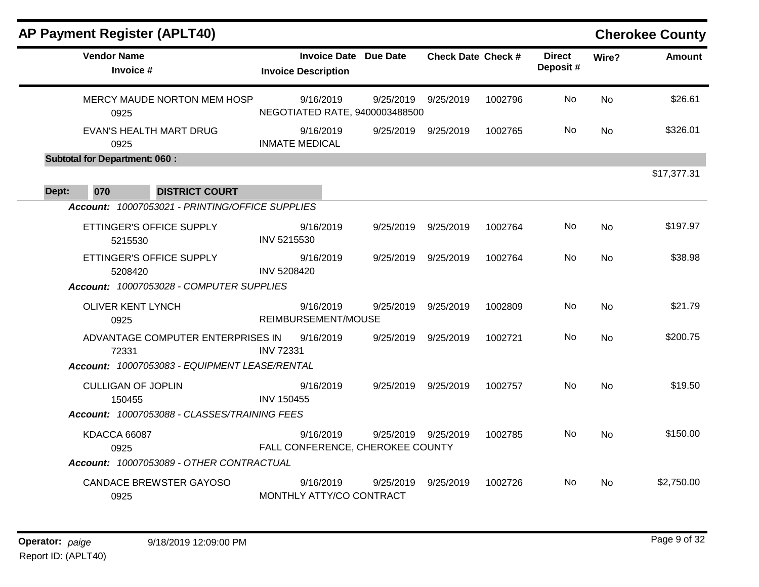| <b>AP Payment Register (APLT40)</b>             |                    |                                                            |                     |                           |         |                           |                | <b>Cherokee County</b> |
|-------------------------------------------------|--------------------|------------------------------------------------------------|---------------------|---------------------------|---------|---------------------------|----------------|------------------------|
| <b>Vendor Name</b><br>Invoice #                 |                    | <b>Invoice Date Due Date</b><br><b>Invoice Description</b> |                     | <b>Check Date Check #</b> |         | <b>Direct</b><br>Deposit# | Wire?          | <b>Amount</b>          |
| MERCY MAUDE NORTON MEM HOSP<br>0925             |                    | 9/16/2019<br>NEGOTIATED RATE, 9400003488500                | 9/25/2019           | 9/25/2019                 | 1002796 | No                        | <b>No</b>      | \$26.61                |
| <b>EVAN'S HEALTH MART DRUG</b><br>0925          |                    | 9/16/2019<br><b>INMATE MEDICAL</b>                         | 9/25/2019 9/25/2019 |                           | 1002765 | No.                       | N <sub>o</sub> | \$326.01               |
| <b>Subtotal for Department: 060:</b>            |                    |                                                            |                     |                           |         |                           |                |                        |
| 070<br><b>DISTRICT COURT</b><br>Dept:           |                    |                                                            |                     |                           |         |                           |                | \$17,377.31            |
| Account: 10007053021 - PRINTING/OFFICE SUPPLIES |                    |                                                            |                     |                           |         |                           |                |                        |
| ETTINGER'S OFFICE SUPPLY<br>5215530             | INV 5215530        | 9/16/2019                                                  | 9/25/2019           | 9/25/2019                 | 1002764 | No                        | <b>No</b>      | \$197.97               |
| ETTINGER'S OFFICE SUPPLY<br>5208420             | <b>INV 5208420</b> | 9/16/2019                                                  | 9/25/2019           | 9/25/2019                 | 1002764 | No.                       | <b>No</b>      | \$38.98                |
| Account: 10007053028 - COMPUTER SUPPLIES        |                    |                                                            |                     |                           |         |                           |                |                        |
| <b>OLIVER KENT LYNCH</b><br>0925                |                    | 9/16/2019<br>REIMBURSEMENT/MOUSE                           | 9/25/2019           | 9/25/2019                 | 1002809 | No.                       | No             | \$21.79                |
| ADVANTAGE COMPUTER ENTERPRISES IN<br>72331      | <b>INV 72331</b>   | 9/16/2019                                                  | 9/25/2019           | 9/25/2019                 | 1002721 | No                        | No             | \$200.75               |
| Account: 10007053083 - EQUIPMENT LEASE/RENTAL   |                    |                                                            |                     |                           |         |                           |                |                        |
| <b>CULLIGAN OF JOPLIN</b><br>150455             | <b>INV 150455</b>  | 9/16/2019                                                  |                     | 9/25/2019 9/25/2019       | 1002757 | No                        | <b>No</b>      | \$19.50                |
| Account: 10007053088 - CLASSES/TRAINING FEES    |                    |                                                            |                     |                           |         |                           |                |                        |
| KDACCA 66087<br>0925                            |                    | 9/16/2019<br>FALL CONFERENCE, CHEROKEE COUNTY              | 9/25/2019 9/25/2019 |                           | 1002785 | No.                       | <b>No</b>      | \$150.00               |
| Account: 10007053089 - OTHER CONTRACTUAL        |                    |                                                            |                     |                           |         |                           |                |                        |
| <b>CANDACE BREWSTER GAYOSO</b><br>0925          |                    | 9/16/2019<br>MONTHLY ATTY/CO CONTRACT                      | 9/25/2019           | 9/25/2019                 | 1002726 | No.                       | No.            | \$2,750.00             |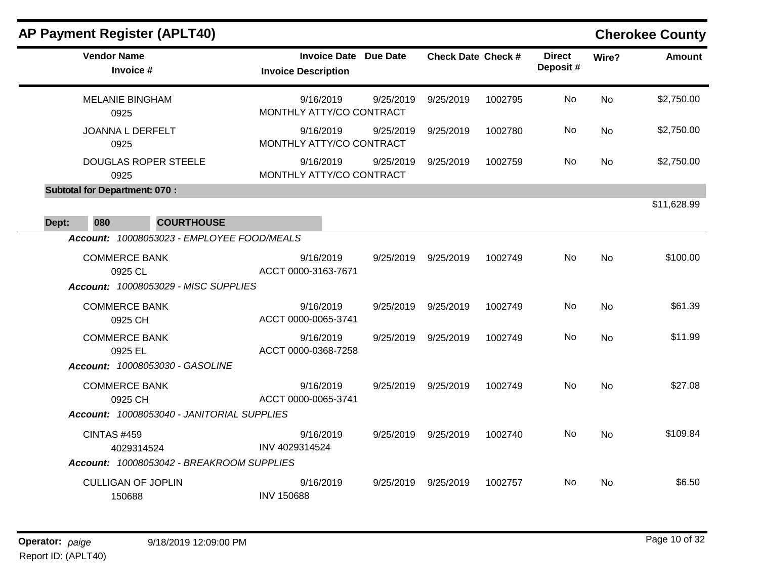|                                      | <b>AP Payment Register (APLT40)</b>                                     |                                       |                              |                           |         |                           |           | <b>Cherokee County</b> |
|--------------------------------------|-------------------------------------------------------------------------|---------------------------------------|------------------------------|---------------------------|---------|---------------------------|-----------|------------------------|
| <b>Vendor Name</b>                   | Invoice #                                                               | <b>Invoice Description</b>            | <b>Invoice Date Due Date</b> | <b>Check Date Check #</b> |         | <b>Direct</b><br>Deposit# | Wire?     | <b>Amount</b>          |
| 0925                                 | <b>MELANIE BINGHAM</b>                                                  | 9/16/2019<br>MONTHLY ATTY/CO CONTRACT | 9/25/2019                    | 9/25/2019                 | 1002795 | No                        | <b>No</b> | \$2,750.00             |
| 0925                                 | JOANNA L DERFELT                                                        | 9/16/2019<br>MONTHLY ATTY/CO CONTRACT | 9/25/2019                    | 9/25/2019                 | 1002780 | No                        | <b>No</b> | \$2,750.00             |
| 0925                                 | <b>DOUGLAS ROPER STEELE</b>                                             | 9/16/2019<br>MONTHLY ATTY/CO CONTRACT | 9/25/2019                    | 9/25/2019                 | 1002759 | No.                       | <b>No</b> | \$2,750.00             |
| <b>Subtotal for Department: 070:</b> |                                                                         |                                       |                              |                           |         |                           |           |                        |
| 080<br>Dept:                         | <b>COURTHOUSE</b>                                                       |                                       |                              |                           |         |                           |           | \$11,628.99            |
|                                      | Account: 10008053023 - EMPLOYEE FOOD/MEALS                              |                                       |                              |                           |         |                           |           |                        |
|                                      | <b>COMMERCE BANK</b><br>0925 CL<br>Account: 10008053029 - MISC SUPPLIES | 9/16/2019<br>ACCT 0000-3163-7671      |                              | 9/25/2019 9/25/2019       | 1002749 | No                        | <b>No</b> | \$100.00               |
|                                      | <b>COMMERCE BANK</b><br>0925 CH                                         | 9/16/2019<br>ACCT 0000-0065-3741      | 9/25/2019                    | 9/25/2019                 | 1002749 | No.                       | <b>No</b> | \$61.39                |
|                                      | <b>COMMERCE BANK</b><br>0925 EL                                         | 9/16/2019<br>ACCT 0000-0368-7258      | 9/25/2019                    | 9/25/2019                 | 1002749 | No                        | <b>No</b> | \$11.99                |
|                                      | Account: 10008053030 - GASOLINE<br><b>COMMERCE BANK</b><br>0925 CH      | 9/16/2019<br>ACCT 0000-0065-3741      | 9/25/2019                    | 9/25/2019                 | 1002749 | No                        | <b>No</b> | \$27.08                |
|                                      | Account: 10008053040 - JANITORIAL SUPPLIES                              |                                       |                              |                           |         |                           |           |                        |
| <b>CINTAS #459</b>                   | 4029314524                                                              | 9/16/2019<br>INV 4029314524           | 9/25/2019                    | 9/25/2019                 | 1002740 | <b>No</b>                 | No        | \$109.84               |
|                                      | Account: 10008053042 - BREAKROOM SUPPLIES                               |                                       |                              |                           |         |                           |           |                        |
|                                      | <b>CULLIGAN OF JOPLIN</b><br>150688                                     | 9/16/2019<br><b>INV 150688</b>        | 9/25/2019                    | 9/25/2019                 | 1002757 | No.                       | No        | \$6.50                 |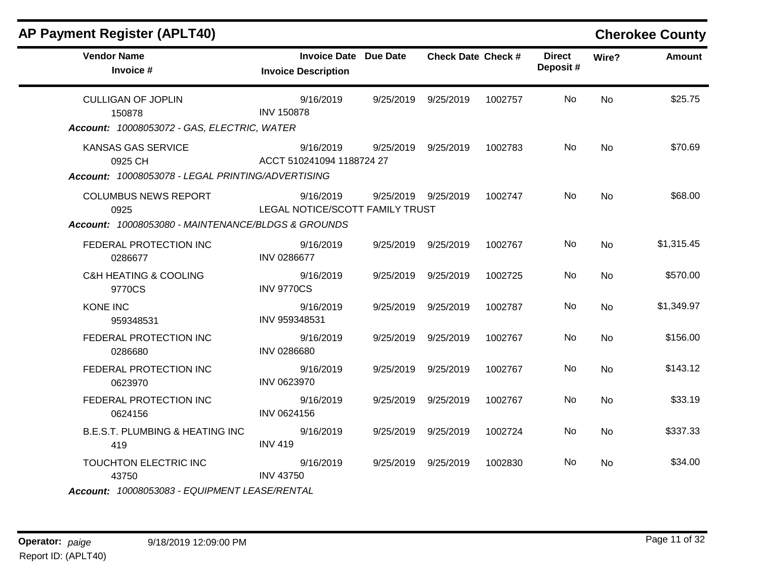| <b>AP Payment Register (APLT40)</b>                                                       |                                                            |           |                           |         |                           |           | <b>Cherokee County</b> |
|-------------------------------------------------------------------------------------------|------------------------------------------------------------|-----------|---------------------------|---------|---------------------------|-----------|------------------------|
| <b>Vendor Name</b><br>Invoice #                                                           | <b>Invoice Date Due Date</b><br><b>Invoice Description</b> |           | <b>Check Date Check #</b> |         | <b>Direct</b><br>Deposit# | Wire?     | <b>Amount</b>          |
| <b>CULLIGAN OF JOPLIN</b><br>150878<br>Account: 10008053072 - GAS, ELECTRIC, WATER        | 9/16/2019<br><b>INV 150878</b>                             |           | 9/25/2019 9/25/2019       | 1002757 | No.                       | <b>No</b> | \$25.75                |
| <b>KANSAS GAS SERVICE</b><br>0925 CH<br>Account: 10008053078 - LEGAL PRINTING/ADVERTISING | 9/16/2019<br>ACCT 510241094 1188724 27                     |           | 9/25/2019 9/25/2019       | 1002783 | No.                       | <b>No</b> | \$70.69                |
| <b>COLUMBUS NEWS REPORT</b><br>0925<br>Account: 10008053080 - MAINTENANCE/BLDGS & GROUNDS | 9/16/2019<br>LEGAL NOTICE/SCOTT FAMILY TRUST               |           | 9/25/2019 9/25/2019       | 1002747 | No.                       | <b>No</b> | \$68.00                |
| FEDERAL PROTECTION INC<br>0286677                                                         | 9/16/2019<br><b>INV 0286677</b>                            |           | 9/25/2019 9/25/2019       | 1002767 | No                        | <b>No</b> | \$1,315.45             |
| <b>C&amp;H HEATING &amp; COOLING</b><br>9770CS                                            | 9/16/2019<br><b>INV 9770CS</b>                             |           | 9/25/2019 9/25/2019       | 1002725 | No.                       | <b>No</b> | \$570.00               |
| <b>KONE INC</b><br>959348531                                                              | 9/16/2019<br>INV 959348531                                 | 9/25/2019 | 9/25/2019                 | 1002787 | No                        | <b>No</b> | \$1,349.97             |
| FEDERAL PROTECTION INC<br>0286680                                                         | 9/16/2019<br>INV 0286680                                   |           | 9/25/2019 9/25/2019       | 1002767 | No.                       | <b>No</b> | \$156.00               |
| FEDERAL PROTECTION INC<br>0623970                                                         | 9/16/2019<br>INV 0623970                                   |           | 9/25/2019 9/25/2019       | 1002767 | No                        | <b>No</b> | \$143.12               |
| FEDERAL PROTECTION INC<br>0624156                                                         | 9/16/2019<br>INV 0624156                                   |           | 9/25/2019 9/25/2019       | 1002767 | No.                       | <b>No</b> | \$33.19                |
| <b>B.E.S.T. PLUMBING &amp; HEATING INC</b><br>419                                         | 9/16/2019<br><b>INV 419</b>                                |           | 9/25/2019 9/25/2019       | 1002724 | No                        | <b>No</b> | \$337.33               |
| TOUCHTON ELECTRIC INC<br>43750                                                            | 9/16/2019<br><b>INV 43750</b>                              |           | 9/25/2019 9/25/2019       | 1002830 | No.                       | No.       | \$34.00                |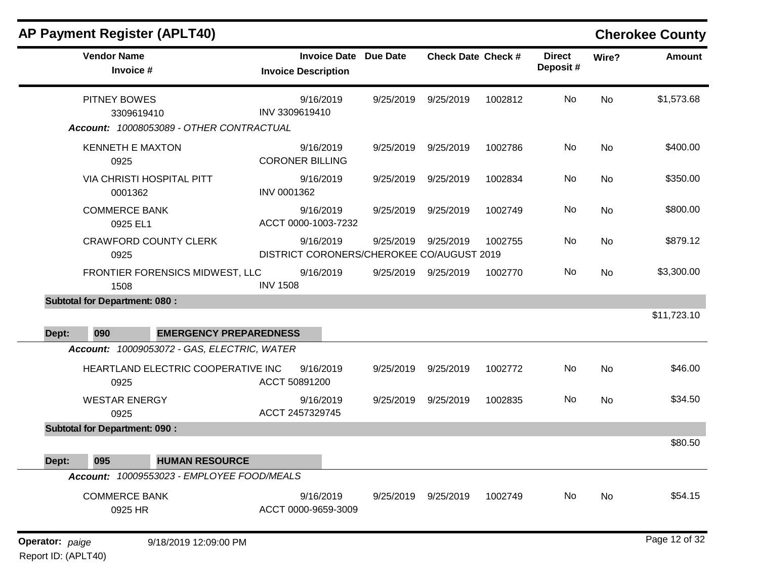|       | <b>AP Payment Register (APLT40)</b>         |                                             |                            |                                  |                                                        |                           |         |                           |           | <b>Cherokee County</b> |
|-------|---------------------------------------------|---------------------------------------------|----------------------------|----------------------------------|--------------------------------------------------------|---------------------------|---------|---------------------------|-----------|------------------------|
|       | <b>Vendor Name</b><br>Invoice #             |                                             | <b>Invoice Description</b> | <b>Invoice Date Due Date</b>     |                                                        | <b>Check Date Check #</b> |         | <b>Direct</b><br>Deposit# | Wire?     | <b>Amount</b>          |
|       | PITNEY BOWES<br>3309619410                  | Account: 10008053089 - OTHER CONTRACTUAL    | INV 3309619410             | 9/16/2019                        | 9/25/2019                                              | 9/25/2019                 | 1002812 | No                        | No        | \$1,573.68             |
|       | <b>KENNETH E MAXTON</b><br>0925             |                                             | <b>CORONER BILLING</b>     | 9/16/2019                        | 9/25/2019                                              | 9/25/2019                 | 1002786 | No                        | <b>No</b> | \$400.00               |
|       | <b>VIA CHRISTI HOSPITAL PITT</b><br>0001362 |                                             | INV 0001362                | 9/16/2019                        | 9/25/2019                                              | 9/25/2019                 | 1002834 | No                        | <b>No</b> | \$350.00               |
|       | <b>COMMERCE BANK</b><br>0925 EL1            |                                             |                            | 9/16/2019<br>ACCT 0000-1003-7232 | 9/25/2019                                              | 9/25/2019                 | 1002749 | No                        | No        | \$800.00               |
|       | <b>CRAWFORD COUNTY CLERK</b><br>0925        |                                             |                            | 9/16/2019                        | 9/25/2019<br>DISTRICT CORONERS/CHEROKEE CO/AUGUST 2019 | 9/25/2019                 | 1002755 | No                        | <b>No</b> | \$879.12               |
|       | 1508                                        | FRONTIER FORENSICS MIDWEST, LLC             | <b>INV 1508</b>            | 9/16/2019                        | 9/25/2019                                              | 9/25/2019                 | 1002770 | No                        | No        | \$3,300.00             |
|       | <b>Subtotal for Department: 080:</b>        |                                             |                            |                                  |                                                        |                           |         |                           |           |                        |
| Dept: | 090                                         | <b>EMERGENCY PREPAREDNESS</b>               |                            |                                  |                                                        |                           |         |                           |           | \$11,723.10            |
|       |                                             | Account: 10009053072 - GAS, ELECTRIC, WATER |                            |                                  |                                                        |                           |         |                           |           |                        |
|       | 0925                                        | HEARTLAND ELECTRIC COOPERATIVE INC          | ACCT 50891200              | 9/16/2019                        | 9/25/2019                                              | 9/25/2019                 | 1002772 | No                        | <b>No</b> | \$46.00                |
|       | <b>WESTAR ENERGY</b><br>0925                |                                             | ACCT 2457329745            | 9/16/2019                        | 9/25/2019                                              | 9/25/2019                 | 1002835 | No                        | No        | \$34.50                |
|       | <b>Subtotal for Department: 090:</b>        |                                             |                            |                                  |                                                        |                           |         |                           |           | \$80.50                |
| Dept: | 095                                         | <b>HUMAN RESOURCE</b>                       |                            |                                  |                                                        |                           |         |                           |           |                        |
|       |                                             | Account: 10009553023 - EMPLOYEE FOOD/MEALS  |                            |                                  |                                                        |                           |         |                           |           |                        |
|       | <b>COMMERCE BANK</b><br>0925 HR             |                                             |                            | 9/16/2019<br>ACCT 0000-9659-3009 | 9/25/2019                                              | 9/25/2019                 | 1002749 | No                        | No        | \$54.15                |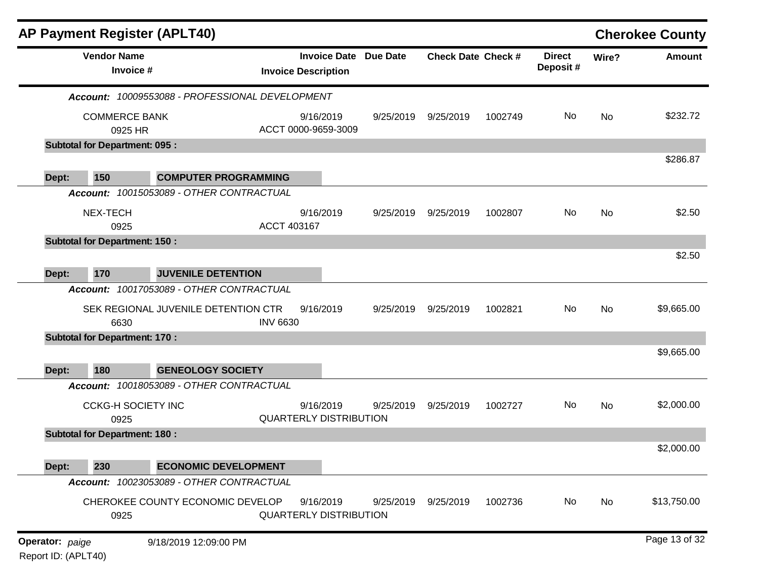|                 | <b>AP Payment Register (APLT40)</b>  |                                                 |                 |                                                            |           |                           |         |                           |       | <b>Cherokee County</b> |
|-----------------|--------------------------------------|-------------------------------------------------|-----------------|------------------------------------------------------------|-----------|---------------------------|---------|---------------------------|-------|------------------------|
|                 | <b>Vendor Name</b><br>Invoice #      |                                                 |                 | <b>Invoice Date Due Date</b><br><b>Invoice Description</b> |           | <b>Check Date Check #</b> |         | <b>Direct</b><br>Deposit# | Wire? | <b>Amount</b>          |
|                 |                                      | Account: 10009553088 - PROFESSIONAL DEVELOPMENT |                 |                                                            |           |                           |         |                           |       |                        |
|                 | <b>COMMERCE BANK</b><br>0925 HR      |                                                 |                 | 9/16/2019<br>ACCT 0000-9659-3009                           | 9/25/2019 | 9/25/2019                 | 1002749 | No                        | No    | \$232.72               |
|                 | <b>Subtotal for Department: 095:</b> |                                                 |                 |                                                            |           |                           |         |                           |       |                        |
| Dept:           | 150                                  | <b>COMPUTER PROGRAMMING</b>                     |                 |                                                            |           |                           |         |                           |       | \$286.87               |
|                 |                                      | Account: 10015053089 - OTHER CONTRACTUAL        |                 |                                                            |           |                           |         |                           |       |                        |
|                 | NEX-TECH<br>0925                     |                                                 | ACCT 403167     | 9/16/2019                                                  | 9/25/2019 | 9/25/2019                 | 1002807 | No                        | No    | \$2.50                 |
|                 | <b>Subtotal for Department: 150:</b> |                                                 |                 |                                                            |           |                           |         |                           |       |                        |
|                 |                                      |                                                 |                 |                                                            |           |                           |         |                           |       | \$2.50                 |
| Dept:           | 170                                  | <b>JUVENILE DETENTION</b>                       |                 |                                                            |           |                           |         |                           |       |                        |
|                 |                                      | Account: 10017053089 - OTHER CONTRACTUAL        |                 |                                                            |           |                           |         |                           |       |                        |
|                 | 6630                                 | SEK REGIONAL JUVENILE DETENTION CTR             | <b>INV 6630</b> | 9/16/2019                                                  | 9/25/2019 | 9/25/2019                 | 1002821 | No.                       | No    | \$9,665.00             |
|                 | <b>Subtotal for Department: 170:</b> |                                                 |                 |                                                            |           |                           |         |                           |       |                        |
| Dept:           | 180                                  | <b>GENEOLOGY SOCIETY</b>                        |                 |                                                            |           |                           |         |                           |       | \$9,665.00             |
|                 |                                      | Account: 10018053089 - OTHER CONTRACTUAL        |                 |                                                            |           |                           |         |                           |       |                        |
|                 | <b>CCKG-H SOCIETY INC</b><br>0925    |                                                 |                 | 9/16/2019<br><b>QUARTERLY DISTRIBUTION</b>                 | 9/25/2019 | 9/25/2019                 | 1002727 | No                        | No    | \$2,000.00             |
|                 | <b>Subtotal for Department: 180:</b> |                                                 |                 |                                                            |           |                           |         |                           |       |                        |
|                 |                                      |                                                 |                 |                                                            |           |                           |         |                           |       | \$2,000.00             |
| Dept:           | 230                                  | <b>ECONOMIC DEVELOPMENT</b>                     |                 |                                                            |           |                           |         |                           |       |                        |
|                 |                                      | Account: 10023053089 - OTHER CONTRACTUAL        |                 |                                                            |           |                           |         |                           |       |                        |
|                 | 0925                                 | CHEROKEE COUNTY ECONOMIC DEVELOP                |                 | 9/16/2019<br><b>QUARTERLY DISTRIBUTION</b>                 | 9/25/2019 | 9/25/2019                 | 1002736 | No                        | No    | \$13,750.00            |
| Operator: paige |                                      | 9/18/2019 12:09:00 PM                           |                 |                                                            |           |                           |         |                           |       | Page 13 of 32          |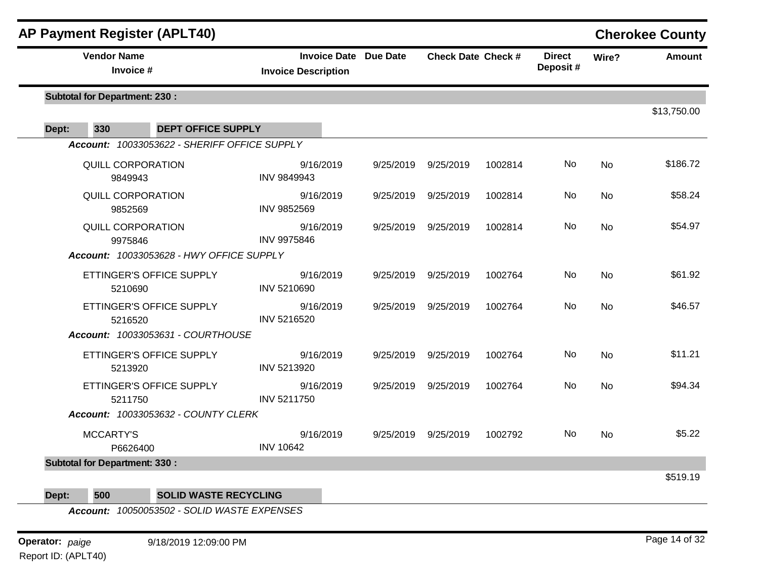| AP Payment Register (APLT40)                 |                                                            |           |                           |         |                           |           | <b>Cherokee County</b> |
|----------------------------------------------|------------------------------------------------------------|-----------|---------------------------|---------|---------------------------|-----------|------------------------|
| <b>Vendor Name</b><br>Invoice #              | <b>Invoice Date Due Date</b><br><b>Invoice Description</b> |           | <b>Check Date Check #</b> |         | <b>Direct</b><br>Deposit# | Wire?     | <b>Amount</b>          |
| <b>Subtotal for Department: 230:</b>         |                                                            |           |                           |         |                           |           |                        |
| 330<br>Dept:<br><b>DEPT OFFICE SUPPLY</b>    |                                                            |           |                           |         |                           |           | \$13,750.00            |
| Account: 10033053622 - SHERIFF OFFICE SUPPLY |                                                            |           |                           |         |                           |           |                        |
| QUILL CORPORATION<br>9849943                 | 9/16/2019<br><b>INV 9849943</b>                            | 9/25/2019 | 9/25/2019                 | 1002814 | No                        | <b>No</b> | \$186.72               |
| <b>QUILL CORPORATION</b><br>9852569          | 9/16/2019<br>INV 9852569                                   | 9/25/2019 | 9/25/2019                 | 1002814 | <b>No</b>                 | <b>No</b> | \$58.24                |
| <b>QUILL CORPORATION</b><br>9975846          | 9/16/2019<br><b>INV 9975846</b>                            | 9/25/2019 | 9/25/2019                 | 1002814 | No                        | No        | \$54.97                |
| Account: 10033053628 - HWY OFFICE SUPPLY     |                                                            |           |                           |         |                           |           |                        |
| ETTINGER'S OFFICE SUPPLY<br>5210690          | 9/16/2019<br>INV 5210690                                   | 9/25/2019 | 9/25/2019                 | 1002764 | <b>No</b>                 | <b>No</b> | \$61.92                |
| ETTINGER'S OFFICE SUPPLY<br>5216520          | 9/16/2019<br>INV 5216520                                   | 9/25/2019 | 9/25/2019                 | 1002764 | <b>No</b>                 | <b>No</b> | \$46.57                |
| Account: 10033053631 - COURTHOUSE            |                                                            |           |                           |         |                           |           |                        |
| ETTINGER'S OFFICE SUPPLY<br>5213920          | 9/16/2019<br>INV 5213920                                   | 9/25/2019 | 9/25/2019                 | 1002764 | No                        | <b>No</b> | \$11.21                |
| ETTINGER'S OFFICE SUPPLY<br>5211750          | 9/16/2019<br>INV 5211750                                   | 9/25/2019 | 9/25/2019                 | 1002764 | No                        | <b>No</b> | \$94.34                |
| Account: 10033053632 - COUNTY CLERK          |                                                            |           |                           |         |                           |           |                        |
| <b>MCCARTY'S</b><br>P6626400                 | 9/16/2019<br><b>INV 10642</b>                              | 9/25/2019 | 9/25/2019                 | 1002792 | No                        | <b>No</b> | \$5.22                 |
| <b>Subtotal for Department: 330:</b>         |                                                            |           |                           |         |                           |           |                        |
|                                              |                                                            |           |                           |         |                           |           | \$519.19               |

**Dept: 500 SOLID WASTE RECYCLING**

*Account: 10050053502 - SOLID WASTE EXPENSES*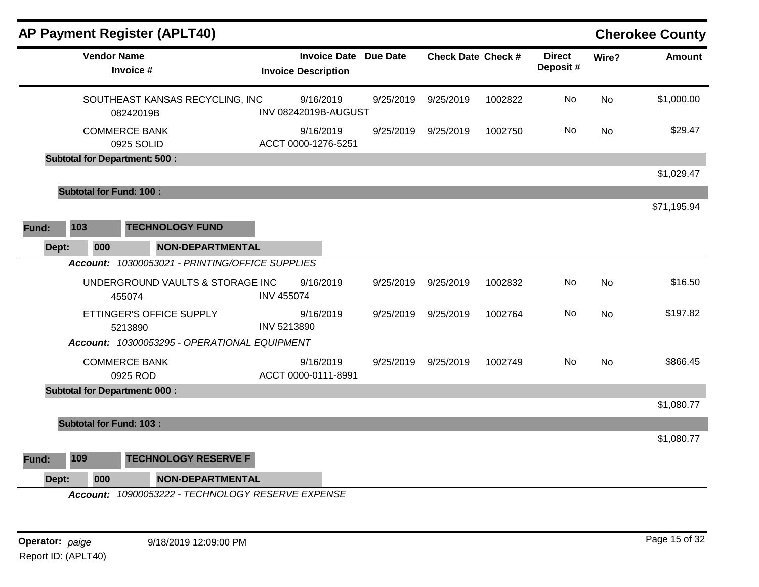| <b>Vendor Name</b><br><b>Invoice Date Due Date</b><br><b>Check Date Check #</b><br><b>Direct</b><br>Wire?<br>Deposit#<br>Invoice #<br><b>Invoice Description</b><br>\$1,000.00<br>No<br>SOUTHEAST KANSAS RECYCLING, INC<br>9/16/2019<br>9/25/2019<br>9/25/2019<br>1002822<br><b>No</b><br>INV 08242019B-AUGUST<br>08242019B<br><b>COMMERCE BANK</b><br>No<br>\$29.47<br>9/16/2019<br>9/25/2019<br>9/25/2019<br>1002750<br>No<br>ACCT 0000-1276-5251<br>0925 SOLID<br><b>Subtotal for Department: 500:</b><br>\$1,029.47<br><b>Subtotal for Fund: 100:</b><br>\$71,195.94<br>103<br><b>TECHNOLOGY FUND</b><br>Fund:<br>Dept:<br>000<br><b>NON-DEPARTMENTAL</b><br>Account: 10300053021 - PRINTING/OFFICE SUPPLIES<br>\$16.50<br>UNDERGROUND VAULTS & STORAGE INC<br>9/16/2019<br>1002832<br>No.<br><b>No</b><br>9/25/2019<br>9/25/2019<br><b>INV 455074</b><br>455074<br>No<br>\$197.82<br>ETTINGER'S OFFICE SUPPLY<br>9/16/2019<br>1002764<br>No<br>9/25/2019<br>9/25/2019<br>INV 5213890<br>5213890<br>Account: 10300053295 - OPERATIONAL EQUIPMENT<br>\$866.45<br><b>COMMERCE BANK</b><br>9/16/2019<br>No<br><b>No</b><br>9/25/2019 9/25/2019<br>1002749<br>ACCT 0000-0111-8991<br>0925 ROD<br><b>Subtotal for Department: 000:</b><br>\$1,080.77<br><b>Subtotal for Fund: 103:</b><br>\$1,080.77<br>109<br><b>TECHNOLOGY RESERVE F</b><br>Fund:<br><b>NON-DEPARTMENTAL</b><br>Dept:<br>000<br>Account: 10900053222 - TECHNOLOGY RESERVE EXPENSE | <b>AP Payment Register (APLT40)</b> |  |  |  | <b>Cherokee County</b> |
|----------------------------------------------------------------------------------------------------------------------------------------------------------------------------------------------------------------------------------------------------------------------------------------------------------------------------------------------------------------------------------------------------------------------------------------------------------------------------------------------------------------------------------------------------------------------------------------------------------------------------------------------------------------------------------------------------------------------------------------------------------------------------------------------------------------------------------------------------------------------------------------------------------------------------------------------------------------------------------------------------------------------------------------------------------------------------------------------------------------------------------------------------------------------------------------------------------------------------------------------------------------------------------------------------------------------------------------------------------------------------------------------------------------------------------------------------|-------------------------------------|--|--|--|------------------------|
|                                                                                                                                                                                                                                                                                                                                                                                                                                                                                                                                                                                                                                                                                                                                                                                                                                                                                                                                                                                                                                                                                                                                                                                                                                                                                                                                                                                                                                                    |                                     |  |  |  | <b>Amount</b>          |
|                                                                                                                                                                                                                                                                                                                                                                                                                                                                                                                                                                                                                                                                                                                                                                                                                                                                                                                                                                                                                                                                                                                                                                                                                                                                                                                                                                                                                                                    |                                     |  |  |  |                        |
|                                                                                                                                                                                                                                                                                                                                                                                                                                                                                                                                                                                                                                                                                                                                                                                                                                                                                                                                                                                                                                                                                                                                                                                                                                                                                                                                                                                                                                                    |                                     |  |  |  |                        |
|                                                                                                                                                                                                                                                                                                                                                                                                                                                                                                                                                                                                                                                                                                                                                                                                                                                                                                                                                                                                                                                                                                                                                                                                                                                                                                                                                                                                                                                    |                                     |  |  |  |                        |
|                                                                                                                                                                                                                                                                                                                                                                                                                                                                                                                                                                                                                                                                                                                                                                                                                                                                                                                                                                                                                                                                                                                                                                                                                                                                                                                                                                                                                                                    |                                     |  |  |  |                        |
|                                                                                                                                                                                                                                                                                                                                                                                                                                                                                                                                                                                                                                                                                                                                                                                                                                                                                                                                                                                                                                                                                                                                                                                                                                                                                                                                                                                                                                                    |                                     |  |  |  |                        |
|                                                                                                                                                                                                                                                                                                                                                                                                                                                                                                                                                                                                                                                                                                                                                                                                                                                                                                                                                                                                                                                                                                                                                                                                                                                                                                                                                                                                                                                    |                                     |  |  |  |                        |
|                                                                                                                                                                                                                                                                                                                                                                                                                                                                                                                                                                                                                                                                                                                                                                                                                                                                                                                                                                                                                                                                                                                                                                                                                                                                                                                                                                                                                                                    |                                     |  |  |  |                        |
|                                                                                                                                                                                                                                                                                                                                                                                                                                                                                                                                                                                                                                                                                                                                                                                                                                                                                                                                                                                                                                                                                                                                                                                                                                                                                                                                                                                                                                                    |                                     |  |  |  |                        |
|                                                                                                                                                                                                                                                                                                                                                                                                                                                                                                                                                                                                                                                                                                                                                                                                                                                                                                                                                                                                                                                                                                                                                                                                                                                                                                                                                                                                                                                    |                                     |  |  |  |                        |
|                                                                                                                                                                                                                                                                                                                                                                                                                                                                                                                                                                                                                                                                                                                                                                                                                                                                                                                                                                                                                                                                                                                                                                                                                                                                                                                                                                                                                                                    |                                     |  |  |  |                        |
|                                                                                                                                                                                                                                                                                                                                                                                                                                                                                                                                                                                                                                                                                                                                                                                                                                                                                                                                                                                                                                                                                                                                                                                                                                                                                                                                                                                                                                                    |                                     |  |  |  |                        |
|                                                                                                                                                                                                                                                                                                                                                                                                                                                                                                                                                                                                                                                                                                                                                                                                                                                                                                                                                                                                                                                                                                                                                                                                                                                                                                                                                                                                                                                    |                                     |  |  |  |                        |
|                                                                                                                                                                                                                                                                                                                                                                                                                                                                                                                                                                                                                                                                                                                                                                                                                                                                                                                                                                                                                                                                                                                                                                                                                                                                                                                                                                                                                                                    |                                     |  |  |  |                        |
|                                                                                                                                                                                                                                                                                                                                                                                                                                                                                                                                                                                                                                                                                                                                                                                                                                                                                                                                                                                                                                                                                                                                                                                                                                                                                                                                                                                                                                                    |                                     |  |  |  |                        |
|                                                                                                                                                                                                                                                                                                                                                                                                                                                                                                                                                                                                                                                                                                                                                                                                                                                                                                                                                                                                                                                                                                                                                                                                                                                                                                                                                                                                                                                    |                                     |  |  |  |                        |
|                                                                                                                                                                                                                                                                                                                                                                                                                                                                                                                                                                                                                                                                                                                                                                                                                                                                                                                                                                                                                                                                                                                                                                                                                                                                                                                                                                                                                                                    |                                     |  |  |  |                        |
|                                                                                                                                                                                                                                                                                                                                                                                                                                                                                                                                                                                                                                                                                                                                                                                                                                                                                                                                                                                                                                                                                                                                                                                                                                                                                                                                                                                                                                                    |                                     |  |  |  |                        |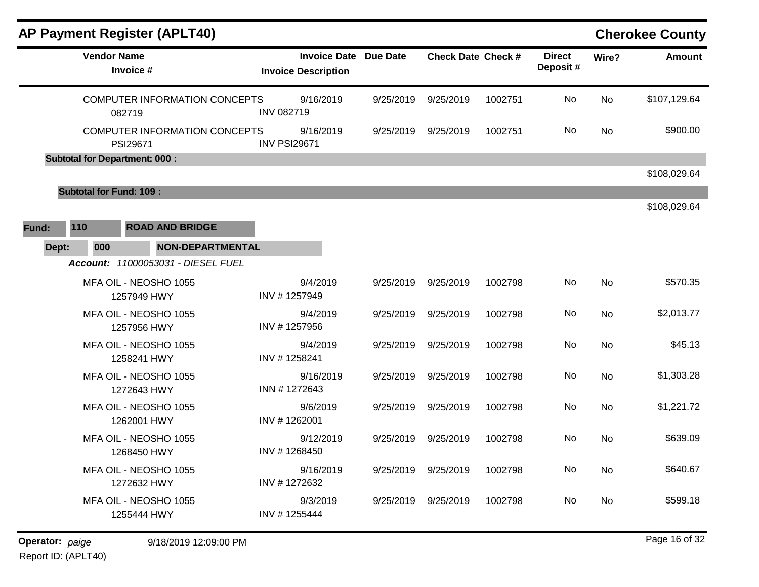|              |                                      | <b>AP Payment Register (APLT40)</b>  |                     |                                                   |                 |                           |         |                           |       | <b>Cherokee County</b> |
|--------------|--------------------------------------|--------------------------------------|---------------------|---------------------------------------------------|-----------------|---------------------------|---------|---------------------------|-------|------------------------|
|              | <b>Vendor Name</b><br>Invoice #      |                                      |                     | <b>Invoice Date</b><br><b>Invoice Description</b> | <b>Due Date</b> | <b>Check Date Check #</b> |         | <b>Direct</b><br>Deposit# | Wire? | <b>Amount</b>          |
|              | 082719                               | <b>COMPUTER INFORMATION CONCEPTS</b> | <b>INV 082719</b>   | 9/16/2019                                         | 9/25/2019       | 9/25/2019                 | 1002751 | No                        | No    | \$107,129.64           |
|              | PSI29671                             | COMPUTER INFORMATION CONCEPTS        | <b>INV PSI29671</b> | 9/16/2019                                         | 9/25/2019       | 9/25/2019                 | 1002751 | No                        | No    | \$900.00               |
|              | <b>Subtotal for Department: 000:</b> |                                      |                     |                                                   |                 |                           |         |                           |       |                        |
|              |                                      |                                      |                     |                                                   |                 |                           |         |                           |       | \$108,029.64           |
|              | <b>Subtotal for Fund: 109:</b>       |                                      |                     |                                                   |                 |                           |         |                           |       |                        |
|              |                                      |                                      |                     |                                                   |                 |                           |         |                           |       | \$108,029.64           |
| 110<br>Fund: |                                      | <b>ROAD AND BRIDGE</b>               |                     |                                                   |                 |                           |         |                           |       |                        |
| Dept:        | 000                                  | <b>NON-DEPARTMENTAL</b>              |                     |                                                   |                 |                           |         |                           |       |                        |
|              |                                      | Account: 11000053031 - DIESEL FUEL   |                     |                                                   |                 |                           |         |                           |       |                        |
|              |                                      | MFA OIL - NEOSHO 1055<br>1257949 HWY | INV #1257949        | 9/4/2019                                          | 9/25/2019       | 9/25/2019                 | 1002798 | No                        | No    | \$570.35               |
|              |                                      | MFA OIL - NEOSHO 1055<br>1257956 HWY | INV #1257956        | 9/4/2019                                          | 9/25/2019       | 9/25/2019                 | 1002798 | No                        | No    | \$2,013.77             |
|              |                                      | MFA OIL - NEOSHO 1055<br>1258241 HWY | INV #1258241        | 9/4/2019                                          | 9/25/2019       | 9/25/2019                 | 1002798 | No                        | No    | \$45.13                |
|              |                                      | MFA OIL - NEOSHO 1055<br>1272643 HWY | INN #1272643        | 9/16/2019                                         | 9/25/2019       | 9/25/2019                 | 1002798 | No                        | No    | \$1,303.28             |
|              |                                      | MFA OIL - NEOSHO 1055<br>1262001 HWY | INV #1262001        | 9/6/2019                                          | 9/25/2019       | 9/25/2019                 | 1002798 | No                        | No    | \$1,221.72             |
|              |                                      | MFA OIL - NEOSHO 1055<br>1268450 HWY | INV #1268450        | 9/12/2019                                         | 9/25/2019       | 9/25/2019                 | 1002798 | No                        | No    | \$639.09               |
|              |                                      | MFA OIL - NEOSHO 1055<br>1272632 HWY | INV #1272632        | 9/16/2019                                         |                 | 9/25/2019 9/25/2019       | 1002798 | No                        | No    | \$640.67               |
|              |                                      | MFA OIL - NEOSHO 1055<br>1255444 HWY | INV #1255444        | 9/3/2019                                          |                 | 9/25/2019 9/25/2019       | 1002798 | No                        | No    | \$599.18               |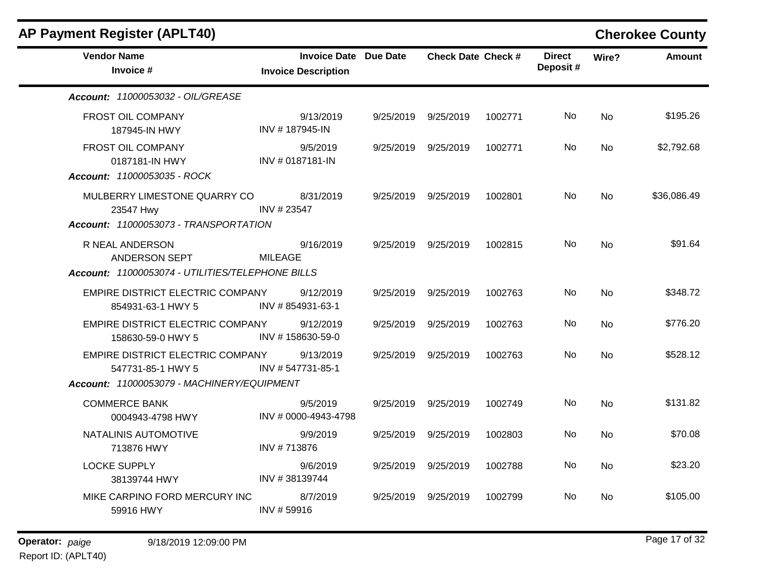| <b>Vendor Name</b><br>Invoice #                                                                     | <b>Invoice Date Due Date</b><br><b>Invoice Description</b> |           | <b>Check Date Check #</b> |         | <b>Direct</b><br>Deposit# | Wire?          | <b>Amount</b> |
|-----------------------------------------------------------------------------------------------------|------------------------------------------------------------|-----------|---------------------------|---------|---------------------------|----------------|---------------|
| Account: 11000053032 - OIL/GREASE                                                                   |                                                            |           |                           |         |                           |                |               |
| FROST OIL COMPANY<br>187945-IN HWY                                                                  | 9/13/2019<br>INV #187945-IN                                |           | 9/25/2019 9/25/2019       | 1002771 | No.                       | N <sub>o</sub> | \$195.26      |
| FROST OIL COMPANY<br>0187181-IN HWY<br>Account: 11000053035 - ROCK                                  | 9/5/2019<br>INV # 0187181-IN                               |           | 9/25/2019 9/25/2019       | 1002771 | No.                       | No             | \$2,792.68    |
| MULBERRY LIMESTONE QUARRY CO<br>23547 Hwy<br>Account: 11000053073 - TRANSPORTATION                  | 8/31/2019<br>INV #23547                                    |           | 9/25/2019 9/25/2019       | 1002801 | No.                       | N <sub>o</sub> | \$36,086.49   |
| R NEAL ANDERSON<br>ANDERSON SEPT<br>Account: 11000053074 - UTILITIES/TELEPHONE BILLS                | 9/16/2019<br><b>MILEAGE</b>                                |           | 9/25/2019 9/25/2019       | 1002815 | No.                       | N <sub>o</sub> | \$91.64       |
| EMPIRE DISTRICT ELECTRIC COMPANY<br>854931-63-1 HWY 5                                               | 9/12/2019<br>INV #854931-63-1                              |           | 9/25/2019 9/25/2019       | 1002763 | No.                       | N <sub>o</sub> | \$348.72      |
| EMPIRE DISTRICT ELECTRIC COMPANY<br>158630-59-0 HWY 5                                               | 9/12/2019<br>INV #158630-59-0                              | 9/25/2019 | 9/25/2019                 | 1002763 | No.                       | <b>No</b>      | \$776.20      |
| EMPIRE DISTRICT ELECTRIC COMPANY<br>547731-85-1 HWY 5<br>Account: 11000053079 - MACHINERY/EQUIPMENT | 9/13/2019<br>INV #547731-85-1                              | 9/25/2019 | 9/25/2019                 | 1002763 | No.                       | N <sub>0</sub> | \$528.12      |
| <b>COMMERCE BANK</b><br>0004943-4798 HWY                                                            | 9/5/2019<br>INV # 0000-4943-4798                           | 9/25/2019 | 9/25/2019                 | 1002749 | No.                       | N <sub>o</sub> | \$131.82      |
| NATALINIS AUTOMOTIVE<br>713876 HWY                                                                  | 9/9/2019<br>INV #713876                                    | 9/25/2019 | 9/25/2019                 | 1002803 | No.                       | N <sub>o</sub> | \$70.08       |
| <b>LOCKE SUPPLY</b><br>38139744 HWY                                                                 | 9/6/2019<br>INV #38139744                                  | 9/25/2019 | 9/25/2019                 | 1002788 | No                        | N <sub>o</sub> | \$23.20       |
| MIKE CARPINO FORD MERCURY INC<br>59916 HWY                                                          | 8/7/2019<br>INV #59916                                     | 9/25/2019 | 9/25/2019                 | 1002799 | No.                       | N <sub>o</sub> | \$105.00      |

 $\blacksquare$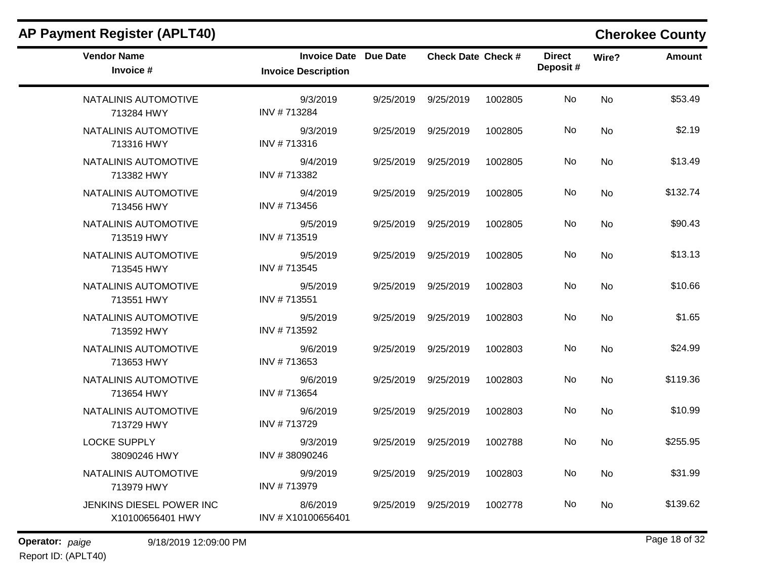| <b>AP Payment Register (APLT40)</b>          |                                                            |           |                           |         |                           |           | <b>Cherokee County</b> |
|----------------------------------------------|------------------------------------------------------------|-----------|---------------------------|---------|---------------------------|-----------|------------------------|
| <b>Vendor Name</b><br>Invoice #              | <b>Invoice Date Due Date</b><br><b>Invoice Description</b> |           | <b>Check Date Check #</b> |         | <b>Direct</b><br>Deposit# | Wire?     | Amount                 |
| NATALINIS AUTOMOTIVE<br>713284 HWY           | 9/3/2019<br>INV #713284                                    | 9/25/2019 | 9/25/2019                 | 1002805 | No                        | <b>No</b> | \$53.49                |
| NATALINIS AUTOMOTIVE<br>713316 HWY           | 9/3/2019<br>INV #713316                                    | 9/25/2019 | 9/25/2019                 | 1002805 | No                        | No        | \$2.19                 |
| NATALINIS AUTOMOTIVE<br>713382 HWY           | 9/4/2019<br>INV #713382                                    | 9/25/2019 | 9/25/2019                 | 1002805 | No                        | No        | \$13.49                |
| NATALINIS AUTOMOTIVE<br>713456 HWY           | 9/4/2019<br>INV #713456                                    | 9/25/2019 | 9/25/2019                 | 1002805 | No                        | No        | \$132.74               |
| NATALINIS AUTOMOTIVE<br>713519 HWY           | 9/5/2019<br>INV #713519                                    | 9/25/2019 | 9/25/2019                 | 1002805 | No                        | <b>No</b> | \$90.43                |
| NATALINIS AUTOMOTIVE<br>713545 HWY           | 9/5/2019<br>INV #713545                                    | 9/25/2019 | 9/25/2019                 | 1002805 | No                        | No        | \$13.13                |
| NATALINIS AUTOMOTIVE<br>713551 HWY           | 9/5/2019<br>INV #713551                                    | 9/25/2019 | 9/25/2019                 | 1002803 | No                        | No        | \$10.66                |
| NATALINIS AUTOMOTIVE<br>713592 HWY           | 9/5/2019<br>INV #713592                                    | 9/25/2019 | 9/25/2019                 | 1002803 | No                        | <b>No</b> | \$1.65                 |
| NATALINIS AUTOMOTIVE<br>713653 HWY           | 9/6/2019<br>INV #713653                                    | 9/25/2019 | 9/25/2019                 | 1002803 | No                        | <b>No</b> | \$24.99                |
| NATALINIS AUTOMOTIVE<br>713654 HWY           | 9/6/2019<br>INV #713654                                    | 9/25/2019 | 9/25/2019                 | 1002803 | No                        | No        | \$119.36               |
| NATALINIS AUTOMOTIVE<br>713729 HWY           | 9/6/2019<br>INV #713729                                    | 9/25/2019 | 9/25/2019                 | 1002803 | No                        | No        | \$10.99                |
| <b>LOCKE SUPPLY</b><br>38090246 HWY          | 9/3/2019<br>INV #38090246                                  | 9/25/2019 | 9/25/2019                 | 1002788 | No                        | <b>No</b> | \$255.95               |
| NATALINIS AUTOMOTIVE<br>713979 HWY           | 9/9/2019<br>INV #713979                                    |           | 9/25/2019 9/25/2019       | 1002803 | No                        | No        | \$31.99                |
| JENKINS DIESEL POWER INC<br>X10100656401 HWY | 8/6/2019<br>INV # X10100656401                             |           | 9/25/2019 9/25/2019       | 1002778 | No                        | No        | \$139.62               |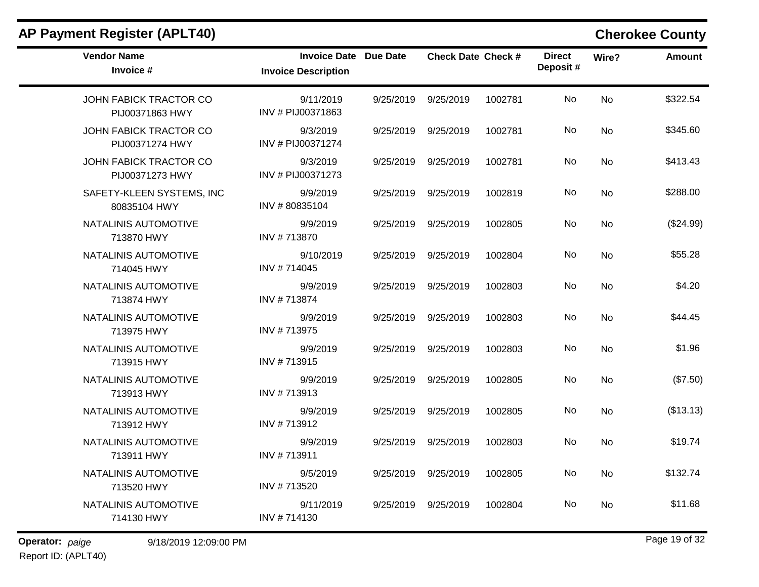| <b>Vendor Name</b><br>Invoice #           | Invoice Date Due Date<br><b>Invoice Description</b> |           | <b>Check Date Check #</b> |         | <b>Direct</b><br>Deposit# | Wire?     | <b>Amount</b> |
|-------------------------------------------|-----------------------------------------------------|-----------|---------------------------|---------|---------------------------|-----------|---------------|
| JOHN FABICK TRACTOR CO<br>PIJ00371863 HWY | 9/11/2019<br>INV # PIJ00371863                      | 9/25/2019 | 9/25/2019                 | 1002781 | No                        | <b>No</b> | \$322.54      |
| JOHN FABICK TRACTOR CO<br>PIJ00371274 HWY | 9/3/2019<br>INV # PIJ00371274                       | 9/25/2019 | 9/25/2019                 | 1002781 | No.                       | <b>No</b> | \$345.60      |
| JOHN FABICK TRACTOR CO<br>PIJ00371273 HWY | 9/3/2019<br>INV # PIJ00371273                       | 9/25/2019 | 9/25/2019                 | 1002781 | <b>No</b>                 | <b>No</b> | \$413.43      |
| SAFETY-KLEEN SYSTEMS, INC<br>80835104 HWY | 9/9/2019<br>INV #80835104                           | 9/25/2019 | 9/25/2019                 | 1002819 | No                        | <b>No</b> | \$288.00      |
| NATALINIS AUTOMOTIVE<br>713870 HWY        | 9/9/2019<br>INV #713870                             | 9/25/2019 | 9/25/2019                 | 1002805 | No.                       | <b>No</b> | (\$24.99)     |
| NATALINIS AUTOMOTIVE<br>714045 HWY        | 9/10/2019<br>INV #714045                            | 9/25/2019 | 9/25/2019                 | 1002804 | No                        | <b>No</b> | \$55.28       |
| NATALINIS AUTOMOTIVE<br>713874 HWY        | 9/9/2019<br>INV #713874                             | 9/25/2019 | 9/25/2019                 | 1002803 | No                        | <b>No</b> | \$4.20        |
| NATALINIS AUTOMOTIVE<br>713975 HWY        | 9/9/2019<br>INV #713975                             | 9/25/2019 | 9/25/2019                 | 1002803 | No                        | <b>No</b> | \$44.45       |
| NATALINIS AUTOMOTIVE<br>713915 HWY        | 9/9/2019<br>INV #713915                             | 9/25/2019 | 9/25/2019                 | 1002803 | No                        | <b>No</b> | \$1.96        |
| NATALINIS AUTOMOTIVE<br>713913 HWY        | 9/9/2019<br>INV #713913                             | 9/25/2019 | 9/25/2019                 | 1002805 | No.                       | <b>No</b> | (\$7.50)      |
| NATALINIS AUTOMOTIVE<br>713912 HWY        | 9/9/2019<br>INV #713912                             | 9/25/2019 | 9/25/2019                 | 1002805 | <b>No</b>                 | <b>No</b> | (\$13.13)     |
| NATALINIS AUTOMOTIVE<br>713911 HWY        | 9/9/2019<br>INV #713911                             | 9/25/2019 | 9/25/2019                 | 1002803 | No.                       | <b>No</b> | \$19.74       |
| NATALINIS AUTOMOTIVE<br>713520 HWY        | 9/5/2019<br>INV #713520                             | 9/25/2019 | 9/25/2019                 | 1002805 | No                        | No        | \$132.74      |
| NATALINIS AUTOMOTIVE<br>714130 HWY        | 9/11/2019<br>INV #714130                            | 9/25/2019 | 9/25/2019                 | 1002804 | No.                       | No        | \$11.68       |

**Operator:** paige 9/18/2019 12:09:00 PM Report ID: (APLT40)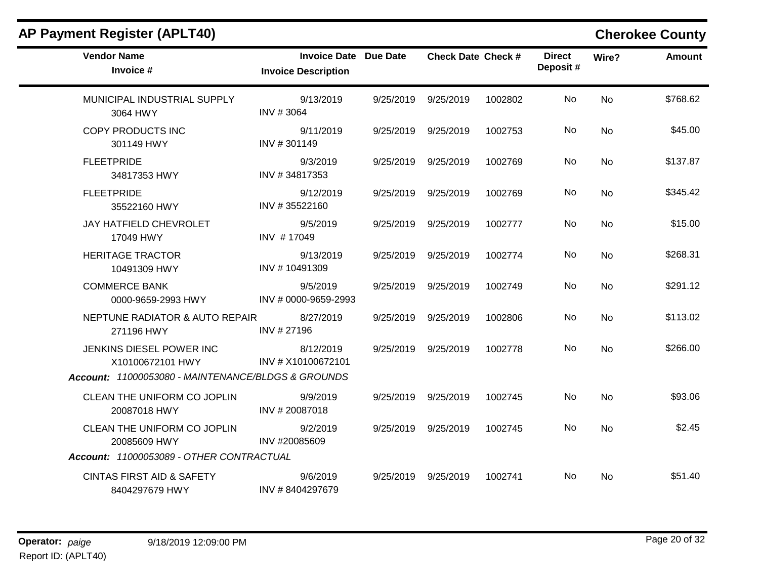| <b>Vendor Name</b><br>Invoice #                        | <b>Invoice Date Due Date</b><br><b>Invoice Description</b> | <b>Check Date Check #</b> |         | <b>Direct</b><br>Deposit# | Wire?     | <b>Amount</b> |
|--------------------------------------------------------|------------------------------------------------------------|---------------------------|---------|---------------------------|-----------|---------------|
| MUNICIPAL INDUSTRIAL SUPPLY<br>3064 HWY                | 9/13/2019<br>INV #3064                                     | 9/25/2019 9/25/2019       | 1002802 | <b>No</b>                 | No        | \$768.62      |
| <b>COPY PRODUCTS INC</b><br>301149 HWY                 | 9/11/2019<br>INV #301149                                   | 9/25/2019 9/25/2019       | 1002753 | <b>No</b>                 | <b>No</b> | \$45.00       |
| <b>FLEETPRIDE</b><br>34817353 HWY                      | 9/3/2019<br>INV #34817353                                  | 9/25/2019 9/25/2019       | 1002769 | No.                       | <b>No</b> | \$137.87      |
| <b>FLEETPRIDE</b><br>35522160 HWY                      | 9/12/2019<br>INV #35522160                                 | 9/25/2019 9/25/2019       | 1002769 | No                        | No        | \$345.42      |
| JAY HATFIELD CHEVROLET<br>17049 HWY                    | 9/5/2019<br>INV #17049                                     | 9/25/2019 9/25/2019       | 1002777 | No                        | <b>No</b> | \$15.00       |
| <b>HERITAGE TRACTOR</b><br>10491309 HWY                | 9/13/2019<br>INV #10491309                                 | 9/25/2019 9/25/2019       | 1002774 | No.                       | <b>No</b> | \$268.31      |
| <b>COMMERCE BANK</b><br>0000-9659-2993 HWY             | 9/5/2019<br>INV # 0000-9659-2993                           | 9/25/2019 9/25/2019       | 1002749 | No                        | <b>No</b> | \$291.12      |
| NEPTUNE RADIATOR & AUTO REPAIR<br>271196 HWY           | 8/27/2019<br>INV #27196                                    | 9/25/2019 9/25/2019       | 1002806 | No                        | No        | \$113.02      |
| JENKINS DIESEL POWER INC<br>X10100672101 HWY           | 8/12/2019<br>INV # X10100672101                            | 9/25/2019 9/25/2019       | 1002778 | <b>No</b>                 | <b>No</b> | \$266.00      |
| Account: 11000053080 - MAINTENANCE/BLDGS & GROUNDS     |                                                            |                           |         |                           |           |               |
| CLEAN THE UNIFORM CO JOPLIN<br>20087018 HWY            | 9/9/2019<br>INV #20087018                                  | 9/25/2019 9/25/2019       | 1002745 | No                        | <b>No</b> | \$93.06       |
| CLEAN THE UNIFORM CO JOPLIN<br>20085609 HWY            | 9/2/2019<br>INV #20085609                                  | 9/25/2019 9/25/2019       | 1002745 | No                        | No        | \$2.45        |
| Account: 11000053089 - OTHER CONTRACTUAL               |                                                            |                           |         |                           |           |               |
| <b>CINTAS FIRST AID &amp; SAFETY</b><br>8404297679 HWY | 9/6/2019<br>INV #8404297679                                | 9/25/2019 9/25/2019       | 1002741 | No.                       | <b>No</b> | \$51.40       |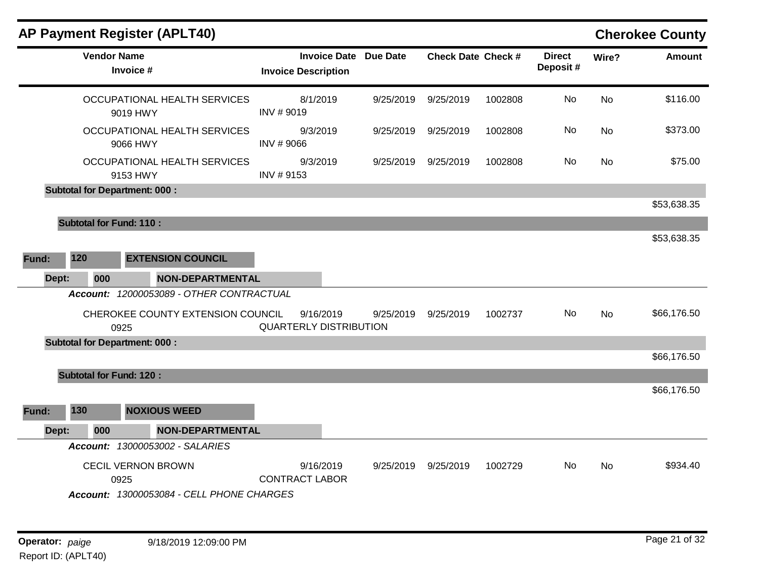| <b>AP Payment Register (APLT40)</b>  |                                                                               |                                            |                              |                           |         |                           |           | <b>Cherokee County</b> |
|--------------------------------------|-------------------------------------------------------------------------------|--------------------------------------------|------------------------------|---------------------------|---------|---------------------------|-----------|------------------------|
| <b>Vendor Name</b>                   | Invoice #                                                                     | <b>Invoice Description</b>                 | <b>Invoice Date Due Date</b> | <b>Check Date Check #</b> |         | <b>Direct</b><br>Deposit# | Wire?     | <b>Amount</b>          |
|                                      | OCCUPATIONAL HEALTH SERVICES<br>9019 HWY                                      | 8/1/2019<br>INV #9019                      | 9/25/2019                    | 9/25/2019                 | 1002808 | <b>No</b>                 | No        | \$116.00               |
|                                      | OCCUPATIONAL HEALTH SERVICES<br>9066 HWY                                      | 9/3/2019<br>INV #9066                      | 9/25/2019                    | 9/25/2019                 | 1002808 | No                        | <b>No</b> | \$373.00               |
|                                      | OCCUPATIONAL HEALTH SERVICES<br>9153 HWY                                      | 9/3/2019<br>INV #9153                      | 9/25/2019                    | 9/25/2019                 | 1002808 | No                        | <b>No</b> | \$75.00                |
| <b>Subtotal for Department: 000:</b> |                                                                               |                                            |                              |                           |         |                           |           | \$53,638.35            |
| <b>Subtotal for Fund: 110:</b>       |                                                                               |                                            |                              |                           |         |                           |           | \$53,638.35            |
| 120<br>Fund:                         | <b>EXTENSION COUNCIL</b>                                                      |                                            |                              |                           |         |                           |           |                        |
| 000<br>Dept:                         | <b>NON-DEPARTMENTAL</b>                                                       |                                            |                              |                           |         |                           |           |                        |
| 0925                                 | Account: 12000053089 - OTHER CONTRACTUAL<br>CHEROKEE COUNTY EXTENSION COUNCIL | 9/16/2019<br><b>QUARTERLY DISTRIBUTION</b> | 9/25/2019                    | 9/25/2019                 | 1002737 | No                        | <b>No</b> | \$66,176.50            |
| <b>Subtotal for Department: 000:</b> |                                                                               |                                            |                              |                           |         |                           |           | \$66,176.50            |
| <b>Subtotal for Fund: 120:</b>       |                                                                               |                                            |                              |                           |         |                           |           |                        |
|                                      |                                                                               |                                            |                              |                           |         |                           |           | \$66,176.50            |
| 130<br>Fund:                         | <b>NOXIOUS WEED</b>                                                           |                                            |                              |                           |         |                           |           |                        |
| 000<br>Dept:                         | <b>NON-DEPARTMENTAL</b>                                                       |                                            |                              |                           |         |                           |           |                        |
|                                      | Account: 13000053002 - SALARIES                                               |                                            |                              |                           |         |                           |           |                        |
| 0925                                 | <b>CECIL VERNON BROWN</b><br>Account: 13000053084 - CELL PHONE CHARGES        | 9/16/2019<br><b>CONTRACT LABOR</b>         | 9/25/2019                    | 9/25/2019                 | 1002729 | No.                       | No        | \$934.40               |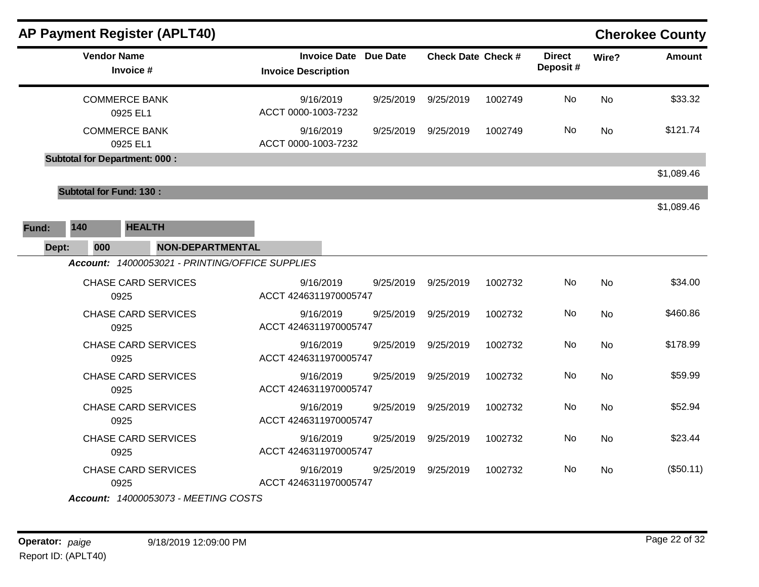| <b>AP Payment Register (APLT40)</b>                                                   |                                                            |           |                           |         |                           |           | <b>Cherokee County</b> |
|---------------------------------------------------------------------------------------|------------------------------------------------------------|-----------|---------------------------|---------|---------------------------|-----------|------------------------|
| <b>Vendor Name</b><br>Invoice #                                                       | <b>Invoice Date Due Date</b><br><b>Invoice Description</b> |           | <b>Check Date Check #</b> |         | <b>Direct</b><br>Deposit# | Wire?     | <b>Amount</b>          |
| <b>COMMERCE BANK</b><br>0925 EL1                                                      | 9/16/2019<br>ACCT 0000-1003-7232                           | 9/25/2019 | 9/25/2019                 | 1002749 | No                        | <b>No</b> | \$33.32                |
| <b>COMMERCE BANK</b><br>0925 EL1                                                      | 9/16/2019<br>ACCT 0000-1003-7232                           | 9/25/2019 | 9/25/2019                 | 1002749 | No                        | <b>No</b> | \$121.74               |
| <b>Subtotal for Department: 000:</b>                                                  |                                                            |           |                           |         |                           |           |                        |
| <b>Subtotal for Fund: 130:</b>                                                        |                                                            |           |                           |         |                           |           | \$1,089.46             |
| 140<br><b>HEALTH</b><br>Fund:                                                         |                                                            |           |                           |         |                           |           | \$1,089.46             |
| Dept:<br>000<br><b>NON-DEPARTMENTAL</b>                                               |                                                            |           |                           |         |                           |           |                        |
| Account: 14000053021 - PRINTING/OFFICE SUPPLIES<br><b>CHASE CARD SERVICES</b><br>0925 | 9/16/2019<br>ACCT 4246311970005747                         | 9/25/2019 | 9/25/2019                 | 1002732 | No                        | <b>No</b> | \$34.00                |
| <b>CHASE CARD SERVICES</b><br>0925                                                    | 9/16/2019<br>ACCT 4246311970005747                         | 9/25/2019 | 9/25/2019                 | 1002732 | No                        | <b>No</b> | \$460.86               |
| <b>CHASE CARD SERVICES</b><br>0925                                                    | 9/16/2019<br>ACCT 4246311970005747                         | 9/25/2019 | 9/25/2019                 | 1002732 | No                        | <b>No</b> | \$178.99               |
| <b>CHASE CARD SERVICES</b><br>0925                                                    | 9/16/2019<br>ACCT 4246311970005747                         | 9/25/2019 | 9/25/2019                 | 1002732 | No                        | <b>No</b> | \$59.99                |
| <b>CHASE CARD SERVICES</b><br>0925                                                    | 9/16/2019<br>ACCT 4246311970005747                         | 9/25/2019 | 9/25/2019                 | 1002732 | No                        | No        | \$52.94                |
| <b>CHASE CARD SERVICES</b><br>0925                                                    | 9/16/2019<br>ACCT 4246311970005747                         | 9/25/2019 | 9/25/2019                 | 1002732 | No                        | No        | \$23.44                |
| <b>CHASE CARD SERVICES</b><br>0925<br>Account: 14000053073 - MEETING COSTS            | 9/16/2019<br>ACCT 4246311970005747                         | 9/25/2019 | 9/25/2019                 | 1002732 | No.                       | No        | (\$50.11)              |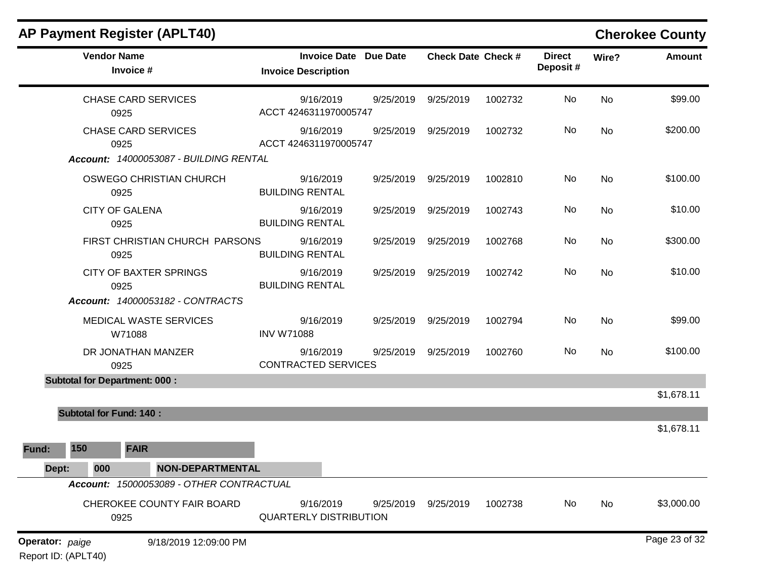|                 |                     | <b>AP Payment Register (APLT40)</b>      |                                                            |           |                           |         |                           |           | <b>Cherokee County</b> |
|-----------------|---------------------|------------------------------------------|------------------------------------------------------------|-----------|---------------------------|---------|---------------------------|-----------|------------------------|
|                 |                     | <b>Vendor Name</b><br>Invoice #          | <b>Invoice Date Due Date</b><br><b>Invoice Description</b> |           | <b>Check Date Check #</b> |         | <b>Direct</b><br>Deposit# | Wire?     | <b>Amount</b>          |
|                 |                     | <b>CHASE CARD SERVICES</b><br>0925       | 9/16/2019<br>ACCT 4246311970005747                         | 9/25/2019 | 9/25/2019                 | 1002732 | No                        | No        | \$99.00                |
|                 |                     | <b>CHASE CARD SERVICES</b><br>0925       | 9/16/2019<br>ACCT 4246311970005747                         | 9/25/2019 | 9/25/2019                 | 1002732 | No                        | No        | \$200.00               |
|                 |                     | Account: 14000053087 - BUILDING RENTAL   |                                                            |           |                           |         |                           |           |                        |
|                 |                     | OSWEGO CHRISTIAN CHURCH<br>0925          | 9/16/2019<br><b>BUILDING RENTAL</b>                        | 9/25/2019 | 9/25/2019                 | 1002810 | No                        | No        | \$100.00               |
|                 |                     | <b>CITY OF GALENA</b><br>0925            | 9/16/2019<br><b>BUILDING RENTAL</b>                        | 9/25/2019 | 9/25/2019                 | 1002743 | No                        | No        | \$10.00                |
|                 |                     | FIRST CHRISTIAN CHURCH PARSONS<br>0925   | 9/16/2019<br><b>BUILDING RENTAL</b>                        | 9/25/2019 | 9/25/2019                 | 1002768 | No                        | <b>No</b> | \$300.00               |
|                 |                     | <b>CITY OF BAXTER SPRINGS</b><br>0925    | 9/16/2019<br><b>BUILDING RENTAL</b>                        | 9/25/2019 | 9/25/2019                 | 1002742 | No                        | No        | \$10.00                |
|                 |                     | <b>Account: 14000053182 - CONTRACTS</b>  |                                                            |           |                           |         |                           |           |                        |
|                 |                     | MEDICAL WASTE SERVICES<br>W71088         | 9/16/2019<br><b>INV W71088</b>                             | 9/25/2019 | 9/25/2019                 | 1002794 | No                        | No        | \$99.00                |
|                 |                     | DR JONATHAN MANZER<br>0925               | 9/16/2019<br><b>CONTRACTED SERVICES</b>                    | 9/25/2019 | 9/25/2019                 | 1002760 | No                        | No        | \$100.00               |
|                 |                     | <b>Subtotal for Department: 000:</b>     |                                                            |           |                           |         |                           |           |                        |
|                 |                     |                                          |                                                            |           |                           |         |                           |           | \$1,678.11             |
|                 |                     | <b>Subtotal for Fund: 140:</b>           |                                                            |           |                           |         |                           |           |                        |
|                 |                     |                                          |                                                            |           |                           |         |                           |           | \$1,678.11             |
| Fund:           | 150                 | <b>FAIR</b>                              |                                                            |           |                           |         |                           |           |                        |
| Dept:           | 000                 | <b>NON-DEPARTMENTAL</b>                  |                                                            |           |                           |         |                           |           |                        |
|                 |                     | Account: 15000053089 - OTHER CONTRACTUAL |                                                            |           |                           |         |                           |           |                        |
|                 |                     | CHEROKEE COUNTY FAIR BOARD<br>0925       | 9/16/2019<br><b>QUARTERLY DISTRIBUTION</b>                 | 9/25/2019 | 9/25/2019                 | 1002738 | No                        | No        | \$3,000.00             |
| Operator: paige | Report ID: (APLT40) | 9/18/2019 12:09:00 PM                    |                                                            |           |                           |         |                           |           | Page 23 of 32          |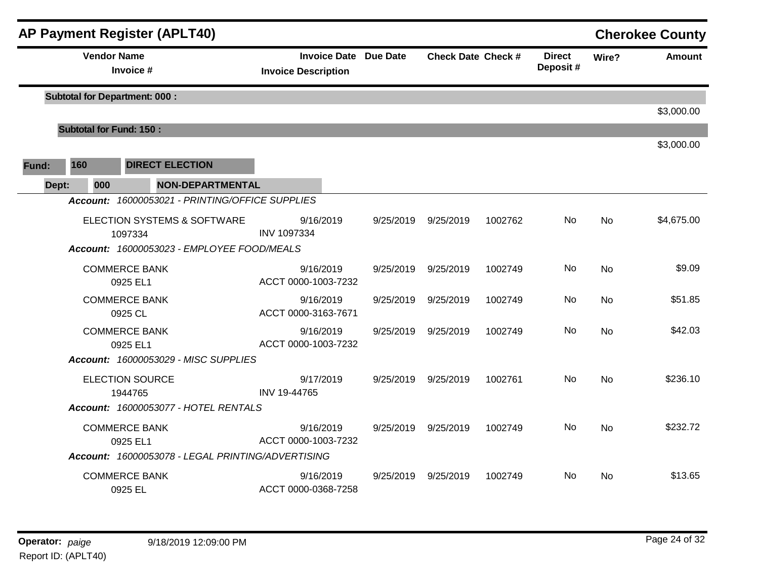|       |                                | <b>AP Payment Register (APLT40)</b>               |                                                            |           |                           |         |                           |           | <b>Cherokee County</b> |
|-------|--------------------------------|---------------------------------------------------|------------------------------------------------------------|-----------|---------------------------|---------|---------------------------|-----------|------------------------|
|       |                                | <b>Vendor Name</b><br>Invoice #                   | <b>Invoice Date Due Date</b><br><b>Invoice Description</b> |           | <b>Check Date Check #</b> |         | <b>Direct</b><br>Deposit# | Wire?     | <b>Amount</b>          |
|       |                                | <b>Subtotal for Department: 000:</b>              |                                                            |           |                           |         |                           |           |                        |
|       |                                |                                                   |                                                            |           |                           |         |                           |           | \$3,000.00             |
|       | <b>Subtotal for Fund: 150:</b> |                                                   |                                                            |           |                           |         |                           |           |                        |
|       |                                |                                                   |                                                            |           |                           |         |                           |           | \$3,000.00             |
| Fund: | 160                            | <b>DIRECT ELECTION</b>                            |                                                            |           |                           |         |                           |           |                        |
|       | Dept:<br>000                   | <b>NON-DEPARTMENTAL</b>                           |                                                            |           |                           |         |                           |           |                        |
|       |                                | Account: 16000053021 - PRINTING/OFFICE SUPPLIES   |                                                            |           |                           |         |                           |           |                        |
|       |                                | ELECTION SYSTEMS & SOFTWARE<br>1097334            | 9/16/2019<br><b>INV 1097334</b>                            | 9/25/2019 | 9/25/2019                 | 1002762 | No                        | <b>No</b> | \$4,675.00             |
|       |                                | Account: 16000053023 - EMPLOYEE FOOD/MEALS        |                                                            |           |                           |         |                           |           |                        |
|       |                                | <b>COMMERCE BANK</b><br>0925 EL1                  | 9/16/2019<br>ACCT 0000-1003-7232                           | 9/25/2019 | 9/25/2019                 | 1002749 | <b>No</b>                 | <b>No</b> | \$9.09                 |
|       |                                | <b>COMMERCE BANK</b><br>0925 CL                   | 9/16/2019<br>ACCT 0000-3163-7671                           | 9/25/2019 | 9/25/2019                 | 1002749 | No.                       | No        | \$51.85                |
|       |                                | <b>COMMERCE BANK</b><br>0925 EL1                  | 9/16/2019<br>ACCT 0000-1003-7232                           | 9/25/2019 | 9/25/2019                 | 1002749 | No                        | No        | \$42.03                |
|       |                                | Account: 16000053029 - MISC SUPPLIES              |                                                            |           |                           |         |                           |           |                        |
|       |                                | <b>ELECTION SOURCE</b><br>1944765                 | 9/17/2019<br>INV 19-44765                                  | 9/25/2019 | 9/25/2019                 | 1002761 | No                        | <b>No</b> | \$236.10               |
|       |                                | Account: 16000053077 - HOTEL RENTALS              |                                                            |           |                           |         |                           |           |                        |
|       |                                | <b>COMMERCE BANK</b><br>0925 EL1                  | 9/16/2019<br>ACCT 0000-1003-7232                           | 9/25/2019 | 9/25/2019                 | 1002749 | No.                       | No        | \$232.72               |
|       |                                | Account: 16000053078 - LEGAL PRINTING/ADVERTISING |                                                            |           |                           |         |                           |           |                        |
|       |                                | <b>COMMERCE BANK</b><br>0925 EL                   | 9/16/2019<br>ACCT 0000-0368-7258                           | 9/25/2019 | 9/25/2019                 | 1002749 | No.                       | No.       | \$13.65                |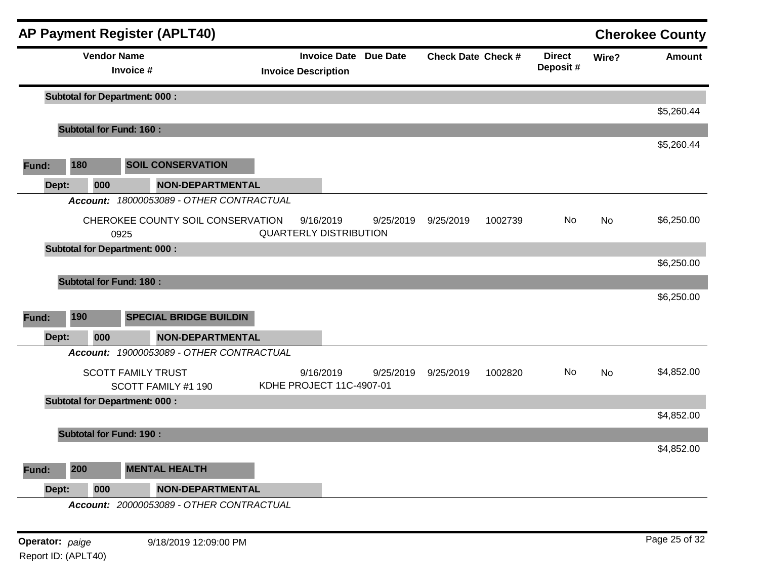|       |       |                    | <b>AP Payment Register (APLT40)</b>              |                                            |                              |                           |         |                           |       | <b>Cherokee County</b> |
|-------|-------|--------------------|--------------------------------------------------|--------------------------------------------|------------------------------|---------------------------|---------|---------------------------|-------|------------------------|
|       |       | <b>Vendor Name</b> | Invoice #                                        | <b>Invoice Description</b>                 | <b>Invoice Date Due Date</b> | <b>Check Date Check #</b> |         | <b>Direct</b><br>Deposit# | Wire? | <b>Amount</b>          |
|       |       |                    | <b>Subtotal for Department: 000:</b>             |                                            |                              |                           |         |                           |       |                        |
|       |       |                    |                                                  |                                            |                              |                           |         |                           |       | \$5,260.44             |
|       |       |                    | <b>Subtotal for Fund: 160:</b>                   |                                            |                              |                           |         |                           |       | \$5,260.44             |
| Fund: |       | 180                | <b>SOIL CONSERVATION</b>                         |                                            |                              |                           |         |                           |       |                        |
|       | Dept: | 000                | <b>NON-DEPARTMENTAL</b>                          |                                            |                              |                           |         |                           |       |                        |
|       |       | <b>Account:</b>    | 18000053089 - OTHER CONTRACTUAL                  |                                            |                              |                           |         |                           |       |                        |
|       |       |                    | CHEROKEE COUNTY SOIL CONSERVATION<br>0925        | 9/16/2019<br><b>QUARTERLY DISTRIBUTION</b> | 9/25/2019                    | 9/25/2019                 | 1002739 | No                        | No    | \$6,250.00             |
|       |       |                    | <b>Subtotal for Department: 000:</b>             |                                            |                              |                           |         |                           |       |                        |
|       |       |                    |                                                  |                                            |                              |                           |         |                           |       | \$6,250.00             |
|       |       |                    | <b>Subtotal for Fund: 180:</b>                   |                                            |                              |                           |         |                           |       |                        |
|       |       |                    |                                                  |                                            |                              |                           |         |                           |       | \$6,250.00             |
| Fund: |       | 190                | <b>SPECIAL BRIDGE BUILDIN</b>                    |                                            |                              |                           |         |                           |       |                        |
|       | Dept: | 000                | <b>NON-DEPARTMENTAL</b>                          |                                            |                              |                           |         |                           |       |                        |
|       |       |                    | Account: 19000053089 - OTHER CONTRACTUAL         |                                            |                              |                           |         |                           |       |                        |
|       |       |                    | <b>SCOTT FAMILY TRUST</b><br>SCOTT FAMILY #1 190 | 9/16/2019<br>KDHE PROJECT 11C-4907-01      | 9/25/2019                    | 9/25/2019                 | 1002820 | No                        | No    | \$4,852.00             |
|       |       |                    | <b>Subtotal for Department: 000:</b>             |                                            |                              |                           |         |                           |       |                        |
|       |       |                    |                                                  |                                            |                              |                           |         |                           |       | \$4,852.00             |
|       |       |                    | <b>Subtotal for Fund: 190:</b>                   |                                            |                              |                           |         |                           |       |                        |
|       |       |                    |                                                  |                                            |                              |                           |         |                           |       | \$4,852.00             |
| Fund: |       | 200                | <b>MENTAL HEALTH</b>                             |                                            |                              |                           |         |                           |       |                        |
|       | Dept: | 000                | <b>NON-DEPARTMENTAL</b>                          |                                            |                              |                           |         |                           |       |                        |
|       |       |                    | Account: 20000053089 - OTHER CONTRACTUAL         |                                            |                              |                           |         |                           |       |                        |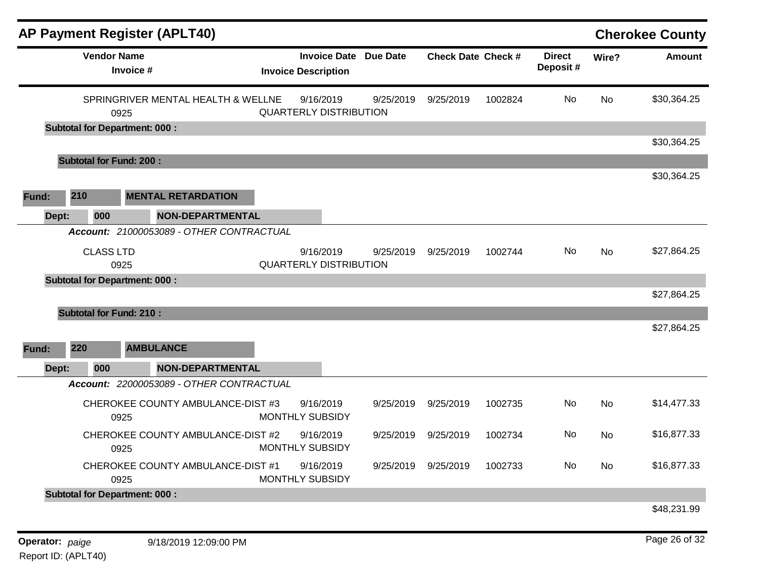|       | <b>AP Payment Register (APLT40)</b>  |                                          |                                                            |           |                           |         |                           |           | <b>Cherokee County</b> |
|-------|--------------------------------------|------------------------------------------|------------------------------------------------------------|-----------|---------------------------|---------|---------------------------|-----------|------------------------|
|       | <b>Vendor Name</b><br>Invoice #      |                                          | <b>Invoice Date Due Date</b><br><b>Invoice Description</b> |           | <b>Check Date Check #</b> |         | <b>Direct</b><br>Deposit# | Wire?     | <b>Amount</b>          |
|       | 0925                                 | SPRINGRIVER MENTAL HEALTH & WELLNE       | 9/16/2019<br><b>QUARTERLY DISTRIBUTION</b>                 | 9/25/2019 | 9/25/2019                 | 1002824 | No                        | <b>No</b> | \$30,364.25            |
|       | <b>Subtotal for Department: 000:</b> |                                          |                                                            |           |                           |         |                           |           |                        |
|       | <b>Subtotal for Fund: 200:</b>       |                                          |                                                            |           |                           |         |                           |           | \$30,364.25            |
|       |                                      |                                          |                                                            |           |                           |         |                           |           | \$30,364.25            |
| Fund: | 210                                  | <b>MENTAL RETARDATION</b>                |                                                            |           |                           |         |                           |           |                        |
| Dept: | 000                                  | <b>NON-DEPARTMENTAL</b>                  |                                                            |           |                           |         |                           |           |                        |
|       |                                      | Account: 21000053089 - OTHER CONTRACTUAL |                                                            |           |                           |         |                           |           |                        |
|       | <b>CLASS LTD</b>                     |                                          | 9/16/2019                                                  | 9/25/2019 | 9/25/2019                 | 1002744 | <b>No</b>                 | <b>No</b> | \$27,864.25            |
|       | 0925                                 |                                          | <b>QUARTERLY DISTRIBUTION</b>                              |           |                           |         |                           |           |                        |
|       | <b>Subtotal for Department: 000:</b> |                                          |                                                            |           |                           |         |                           |           |                        |
|       |                                      |                                          |                                                            |           |                           |         |                           |           | \$27,864.25            |
|       | <b>Subtotal for Fund: 210:</b>       |                                          |                                                            |           |                           |         |                           |           |                        |
|       |                                      |                                          |                                                            |           |                           |         |                           |           | \$27,864.25            |
| Fund: | 220                                  | <b>AMBULANCE</b>                         |                                                            |           |                           |         |                           |           |                        |
| Dept: | 000                                  | <b>NON-DEPARTMENTAL</b>                  |                                                            |           |                           |         |                           |           |                        |
|       |                                      | Account: 22000053089 - OTHER CONTRACTUAL |                                                            |           |                           |         |                           |           |                        |
|       | 0925                                 | CHEROKEE COUNTY AMBULANCE-DIST #3        | 9/16/2019<br><b>MONTHLY SUBSIDY</b>                        | 9/25/2019 | 9/25/2019                 | 1002735 | No                        | <b>No</b> | \$14,477.33            |
|       | 0925                                 | CHEROKEE COUNTY AMBULANCE-DIST #2        | 9/16/2019<br>MONTHLY SUBSIDY                               | 9/25/2019 | 9/25/2019                 | 1002734 | No                        | <b>No</b> | \$16,877.33            |
|       | 0925                                 | CHEROKEE COUNTY AMBULANCE-DIST #1        | 9/16/2019<br>MONTHLY SUBSIDY                               | 9/25/2019 | 9/25/2019                 | 1002733 | No                        | <b>No</b> | \$16,877.33            |
|       | <b>Subtotal for Department: 000:</b> |                                          |                                                            |           |                           |         |                           |           |                        |
|       |                                      |                                          |                                                            |           |                           |         |                           |           | \$48,231.99            |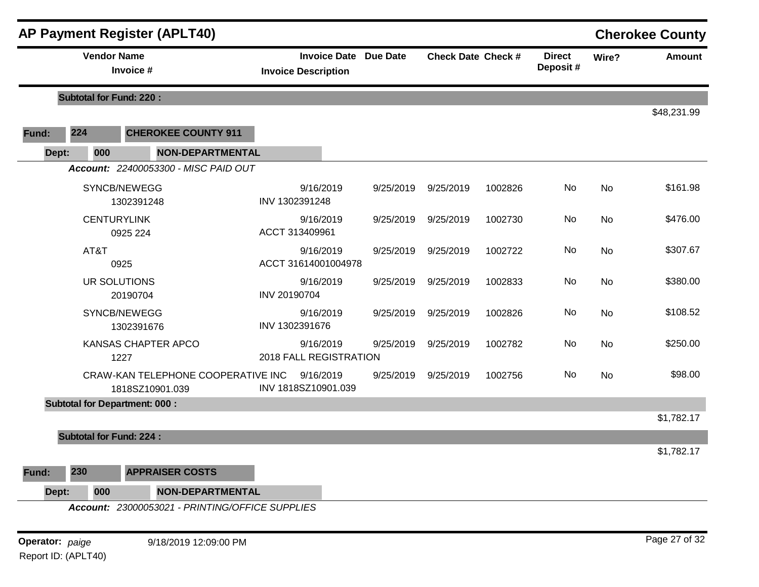|       | <b>Vendor Name</b>             |                                                       |                                                            |           |                           |         |                           |           |               |
|-------|--------------------------------|-------------------------------------------------------|------------------------------------------------------------|-----------|---------------------------|---------|---------------------------|-----------|---------------|
|       |                                | Invoice #                                             | <b>Invoice Date Due Date</b><br><b>Invoice Description</b> |           | <b>Check Date Check #</b> |         | <b>Direct</b><br>Deposit# | Wire?     | <b>Amount</b> |
|       | <b>Subtotal for Fund: 220:</b> |                                                       |                                                            |           |                           |         |                           |           |               |
| Fund: | 224                            | <b>CHEROKEE COUNTY 911</b>                            |                                                            |           |                           |         |                           |           | \$48,231.99   |
| Dept: | 000                            | <b>NON-DEPARTMENTAL</b>                               |                                                            |           |                           |         |                           |           |               |
|       |                                | Account: 22400053300 - MISC PAID OUT                  |                                                            |           |                           |         |                           |           |               |
|       |                                | SYNCB/NEWEGG<br>1302391248                            | 9/16/2019<br>INV 1302391248                                | 9/25/2019 | 9/25/2019                 | 1002826 | No                        | <b>No</b> | \$161.98      |
|       | <b>CENTURYLINK</b>             | 0925 224                                              | 9/16/2019<br>ACCT 313409961                                | 9/25/2019 | 9/25/2019                 | 1002730 | No                        | <b>No</b> | \$476.00      |
|       | AT&T                           | 0925                                                  | 9/16/2019<br>ACCT 31614001004978                           | 9/25/2019 | 9/25/2019                 | 1002722 | No                        | <b>No</b> | \$307.67      |
|       | UR SOLUTIONS                   | 20190704                                              | 9/16/2019<br>INV 20190704                                  | 9/25/2019 | 9/25/2019                 | 1002833 | No                        | <b>No</b> | \$380.00      |
|       |                                | SYNCB/NEWEGG<br>1302391676                            | 9/16/2019<br>INV 1302391676                                | 9/25/2019 | 9/25/2019                 | 1002826 | No                        | No        | \$108.52      |
|       |                                | KANSAS CHAPTER APCO<br>1227                           | 9/16/2019<br>2018 FALL REGISTRATION                        | 9/25/2019 | 9/25/2019                 | 1002782 | No                        | No        | \$250.00      |
|       |                                | CRAW-KAN TELEPHONE COOPERATIVE INC<br>1818SZ10901.039 | 9/16/2019<br>INV 1818SZ10901.039                           | 9/25/2019 | 9/25/2019                 | 1002756 | No                        | No        | \$98.00       |
|       |                                | <b>Subtotal for Department: 000:</b>                  |                                                            |           |                           |         |                           |           |               |
|       |                                |                                                       |                                                            |           |                           |         |                           |           | \$1,782.17    |
|       | <b>Subtotal for Fund: 224:</b> |                                                       |                                                            |           |                           |         |                           |           |               |
| Fund: | 230                            | <b>APPRAISER COSTS</b>                                |                                                            |           |                           |         |                           |           | \$1,782.17    |
| Dept: | 000                            | <b>NON-DEPARTMENTAL</b>                               |                                                            |           |                           |         |                           |           |               |

**Operator:** paige 9/18/2019 12:09:00 PM Report ID: (APLT40)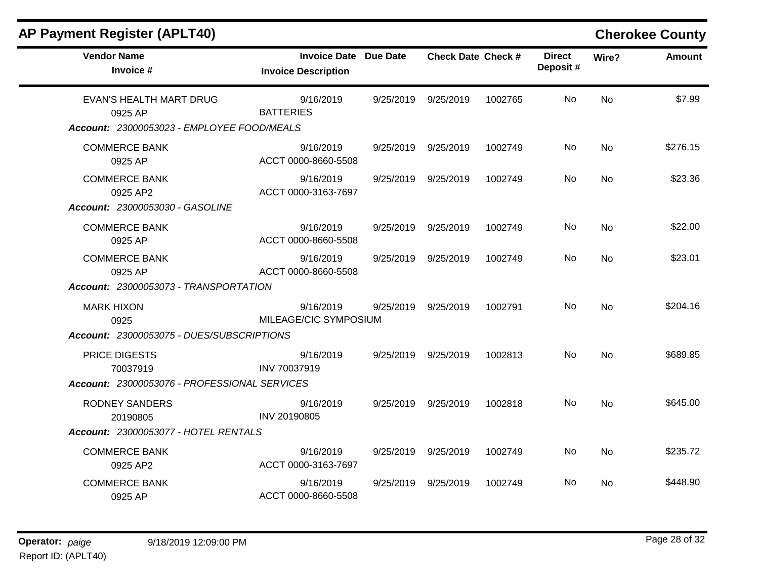| <b>AP Payment Register (APLT40)</b>          |                                                     |           |                           |         |                           |                | <b>Cherokee County</b> |
|----------------------------------------------|-----------------------------------------------------|-----------|---------------------------|---------|---------------------------|----------------|------------------------|
| <b>Vendor Name</b><br>Invoice #              | Invoice Date Due Date<br><b>Invoice Description</b> |           | <b>Check Date Check #</b> |         | <b>Direct</b><br>Deposit# | Wire?          | <b>Amount</b>          |
| EVAN'S HEALTH MART DRUG<br>0925 AP           | 9/16/2019<br><b>BATTERIES</b>                       | 9/25/2019 | 9/25/2019                 | 1002765 | No.                       | No             | \$7.99                 |
| Account: 23000053023 - EMPLOYEE FOOD/MEALS   |                                                     |           |                           |         |                           |                |                        |
| <b>COMMERCE BANK</b><br>0925 AP              | 9/16/2019<br>ACCT 0000-8660-5508                    | 9/25/2019 | 9/25/2019                 | 1002749 | No                        | <b>No</b>      | \$276.15               |
| <b>COMMERCE BANK</b><br>0925 AP2             | 9/16/2019<br>ACCT 0000-3163-7697                    | 9/25/2019 | 9/25/2019                 | 1002749 | No.                       | No             | \$23.36                |
| Account: 23000053030 - GASOLINE              |                                                     |           |                           |         |                           |                |                        |
| <b>COMMERCE BANK</b><br>0925 AP              | 9/16/2019<br>ACCT 0000-8660-5508                    | 9/25/2019 | 9/25/2019                 | 1002749 | No.                       | No.            | \$22.00                |
| <b>COMMERCE BANK</b><br>0925 AP              | 9/16/2019<br>ACCT 0000-8660-5508                    | 9/25/2019 | 9/25/2019                 | 1002749 | No.                       | <b>No</b>      | \$23.01                |
| Account: 23000053073 - TRANSPORTATION        |                                                     |           |                           |         |                           |                |                        |
| <b>MARK HIXON</b><br>0925                    | 9/16/2019<br>MILEAGE/CIC SYMPOSIUM                  | 9/25/2019 | 9/25/2019                 | 1002791 | No.                       | <b>No</b>      | \$204.16               |
| Account: 23000053075 - DUES/SUBSCRIPTIONS    |                                                     |           |                           |         |                           |                |                        |
| PRICE DIGESTS<br>70037919                    | 9/16/2019<br>INV 70037919                           | 9/25/2019 | 9/25/2019                 | 1002813 | No.                       | <b>No</b>      | \$689.85               |
| Account: 23000053076 - PROFESSIONAL SERVICES |                                                     |           |                           |         |                           |                |                        |
| <b>RODNEY SANDERS</b><br>20190805            | 9/16/2019<br>INV 20190805                           | 9/25/2019 | 9/25/2019                 | 1002818 | No.                       | N <sub>o</sub> | \$645.00               |
| Account: 23000053077 - HOTEL RENTALS         |                                                     |           |                           |         |                           |                |                        |
| <b>COMMERCE BANK</b><br>0925 AP2             | 9/16/2019<br>ACCT 0000-3163-7697                    | 9/25/2019 | 9/25/2019                 | 1002749 | No                        | No             | \$235.72               |
| <b>COMMERCE BANK</b><br>0925 AP              | 9/16/2019<br>ACCT 0000-8660-5508                    | 9/25/2019 | 9/25/2019                 | 1002749 | No.                       | No.            | \$448.90               |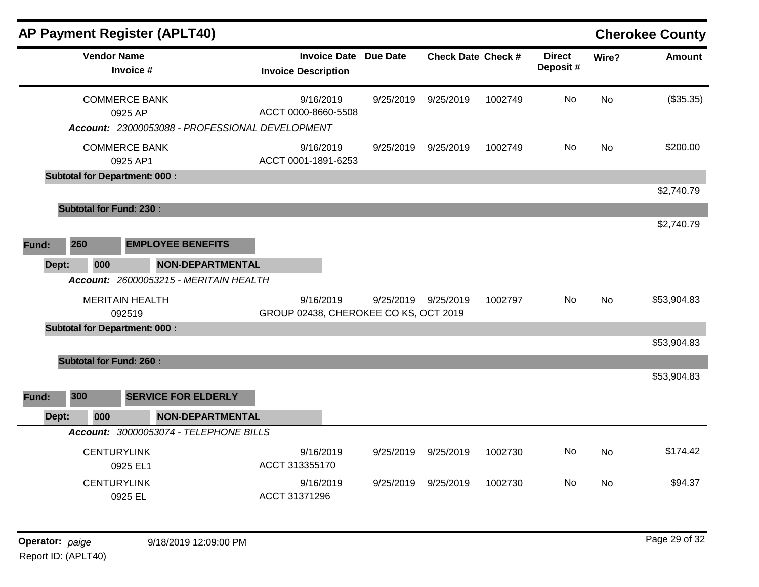|              |                                          | <b>AP Payment Register (APLT40)</b>                                                |                                                    |                 |                                  |                    |                           |          | <b>Cherokee County</b> |
|--------------|------------------------------------------|------------------------------------------------------------------------------------|----------------------------------------------------|-----------------|----------------------------------|--------------------|---------------------------|----------|------------------------|
|              | <b>Vendor Name</b>                       | Invoice #                                                                          | <b>Invoice Date</b><br><b>Invoice Description</b>  | <b>Due Date</b> | <b>Check Date Check #</b>        |                    | <b>Direct</b><br>Deposit# | Wire?    | <b>Amount</b>          |
|              |                                          | <b>COMMERCE BANK</b><br>0925 AP<br>Account: 23000053088 - PROFESSIONAL DEVELOPMENT | 9/16/2019<br>ACCT 0000-8660-5508                   | 9/25/2019       | 9/25/2019                        | 1002749            | No                        | No       | (\$35.35)              |
|              |                                          | <b>COMMERCE BANK</b><br>0925 AP1<br><b>Subtotal for Department: 000:</b>           | 9/16/2019<br>ACCT 0001-1891-6253                   | 9/25/2019       | 9/25/2019                        | 1002749            | No                        | No       | \$200.00               |
|              |                                          |                                                                                    |                                                    |                 |                                  |                    |                           |          | \$2,740.79             |
|              |                                          | <b>Subtotal for Fund: 230:</b>                                                     |                                                    |                 |                                  |                    |                           |          | \$2,740.79             |
| 260<br>Fund: |                                          | <b>EMPLOYEE BENEFITS</b>                                                           |                                                    |                 |                                  |                    |                           |          |                        |
| Dept:        | 000                                      | <b>NON-DEPARTMENTAL</b><br>Account: 26000053215 - MERITAIN HEALTH                  |                                                    |                 |                                  |                    |                           |          |                        |
|              |                                          | <b>MERITAIN HEALTH</b><br>092519                                                   | 9/16/2019<br>GROUP 02438, CHEROKEE CO KS, OCT 2019 | 9/25/2019       | 9/25/2019                        | 1002797            | No                        | No       | \$53,904.83            |
|              |                                          | <b>Subtotal for Department: 000:</b>                                               |                                                    |                 |                                  |                    |                           |          | \$53,904.83            |
|              |                                          | <b>Subtotal for Fund: 260:</b>                                                     |                                                    |                 |                                  |                    |                           |          | \$53,904.83            |
| 300<br>Fund: |                                          | <b>SERVICE FOR ELDERLY</b>                                                         |                                                    |                 |                                  |                    |                           |          |                        |
| Dept:        | 000                                      | <b>NON-DEPARTMENTAL</b>                                                            |                                                    |                 |                                  |                    |                           |          |                        |
|              | <b>CENTURYLINK</b><br><b>CENTURYLINK</b> | Account: 30000053074 - TELEPHONE BILLS<br>0925 EL1                                 | 9/16/2019<br>ACCT 313355170<br>9/16/2019           | 9/25/2019       | 9/25/2019<br>9/25/2019 9/25/2019 | 1002730<br>1002730 | No<br>No                  | No<br>No | \$174.42<br>\$94.37    |
|              |                                          | 0925 EL                                                                            | ACCT 31371296                                      |                 |                                  |                    |                           |          |                        |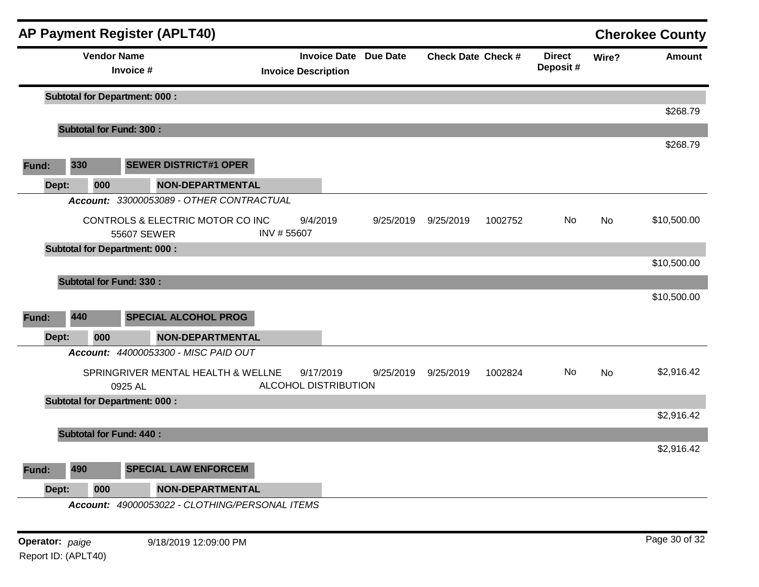|       |       |                                      |             | <b>AP Payment Register (APLT40)</b>            |                            |           |                              |                           |         |                           |       | <b>Cherokee County</b> |
|-------|-------|--------------------------------------|-------------|------------------------------------------------|----------------------------|-----------|------------------------------|---------------------------|---------|---------------------------|-------|------------------------|
|       |       | <b>Vendor Name</b>                   | Invoice #   |                                                | <b>Invoice Description</b> |           | <b>Invoice Date Due Date</b> | <b>Check Date Check #</b> |         | <b>Direct</b><br>Deposit# | Wire? | <b>Amount</b>          |
|       |       | <b>Subtotal for Department: 000:</b> |             |                                                |                            |           |                              |                           |         |                           |       |                        |
|       |       |                                      |             |                                                |                            |           |                              |                           |         |                           |       | \$268.79               |
|       |       | <b>Subtotal for Fund: 300:</b>       |             |                                                |                            |           |                              |                           |         |                           |       |                        |
| Fund: |       | 330                                  |             | <b>SEWER DISTRICT#1 OPER</b>                   |                            |           |                              |                           |         |                           |       | \$268.79               |
|       | Dept: | 000                                  |             | <b>NON-DEPARTMENTAL</b>                        |                            |           |                              |                           |         |                           |       |                        |
|       |       |                                      |             | Account: 33000053089 - OTHER CONTRACTUAL       |                            |           |                              |                           |         |                           |       |                        |
|       |       |                                      | 55607 SEWER | CONTROLS & ELECTRIC MOTOR CO INC               | 9/4/2019<br>INV #55607     |           | 9/25/2019                    | 9/25/2019                 | 1002752 | No.                       | No    | \$10,500.00            |
|       |       | <b>Subtotal for Department: 000:</b> |             |                                                |                            |           |                              |                           |         |                           |       |                        |
|       |       |                                      |             |                                                |                            |           |                              |                           |         |                           |       | \$10,500.00            |
|       |       | <b>Subtotal for Fund: 330:</b>       |             |                                                |                            |           |                              |                           |         |                           |       |                        |
|       |       |                                      |             |                                                |                            |           |                              |                           |         |                           |       | \$10,500.00            |
| Fund: |       | 440                                  |             | <b>SPECIAL ALCOHOL PROG</b>                    |                            |           |                              |                           |         |                           |       |                        |
|       | Dept: | 000                                  |             | <b>NON-DEPARTMENTAL</b>                        |                            |           |                              |                           |         |                           |       |                        |
|       |       |                                      |             | Account: 44000053300 - MISC PAID OUT           |                            |           |                              |                           |         |                           |       |                        |
|       |       |                                      | 0925 AL     | SPRINGRIVER MENTAL HEALTH & WELLNE             | ALCOHOL DISTRIBUTION       | 9/17/2019 | 9/25/2019                    | 9/25/2019                 | 1002824 | No                        | No    | \$2,916.42             |
|       |       | <b>Subtotal for Department: 000:</b> |             |                                                |                            |           |                              |                           |         |                           |       |                        |
|       |       |                                      |             |                                                |                            |           |                              |                           |         |                           |       | \$2,916.42             |
|       |       | <b>Subtotal for Fund: 440:</b>       |             |                                                |                            |           |                              |                           |         |                           |       | \$2,916.42             |
|       |       |                                      |             |                                                |                            |           |                              |                           |         |                           |       |                        |
| Fund: |       | 490                                  |             | <b>SPECIAL LAW ENFORCEM</b>                    |                            |           |                              |                           |         |                           |       |                        |
|       | Dept: | 000                                  |             | <b>NON-DEPARTMENTAL</b>                        |                            |           |                              |                           |         |                           |       |                        |
|       |       |                                      |             | Account: 49000053022 - CLOTHING/PERSONAL ITEMS |                            |           |                              |                           |         |                           |       |                        |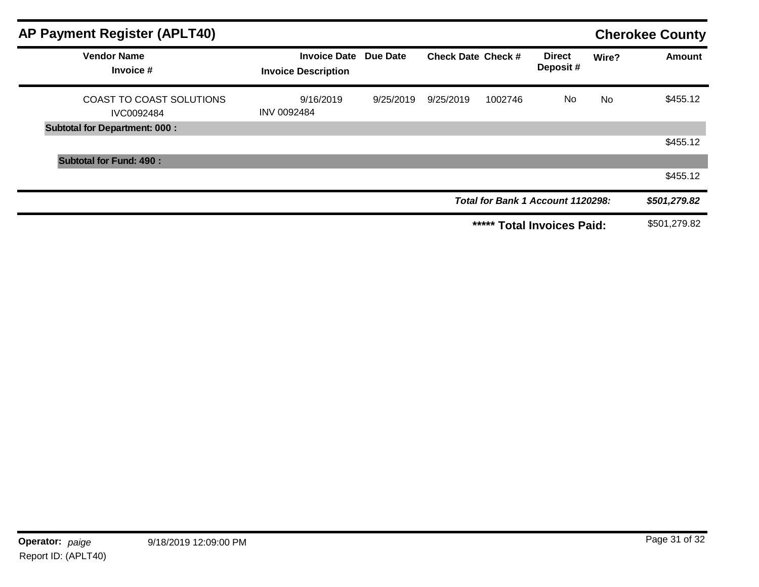| <b>AP Payment Register (APLT40)</b>    |                                                            |           |                           |         |                                   |           | <b>Cherokee County</b> |
|----------------------------------------|------------------------------------------------------------|-----------|---------------------------|---------|-----------------------------------|-----------|------------------------|
| <b>Vendor Name</b><br>Invoice #        | <b>Invoice Date Due Date</b><br><b>Invoice Description</b> |           | <b>Check Date Check #</b> |         | <b>Direct</b><br>Deposit#         | Wire?     | <b>Amount</b>          |
| COAST TO COAST SOLUTIONS<br>IVC0092484 | 9/16/2019<br><b>INV 0092484</b>                            | 9/25/2019 | 9/25/2019                 | 1002746 | No                                | <b>No</b> | \$455.12               |
| <b>Subtotal for Department: 000:</b>   |                                                            |           |                           |         |                                   |           |                        |
|                                        |                                                            |           |                           |         |                                   |           | \$455.12               |
| <b>Subtotal for Fund: 490:</b>         |                                                            |           |                           |         |                                   |           |                        |
|                                        |                                                            |           |                           |         |                                   |           | \$455.12               |
|                                        |                                                            |           |                           |         | Total for Bank 1 Account 1120298: |           | \$501,279.82           |
|                                        |                                                            |           |                           | *****   | <b>Total Invoices Paid:</b>       |           | \$501,279.82           |